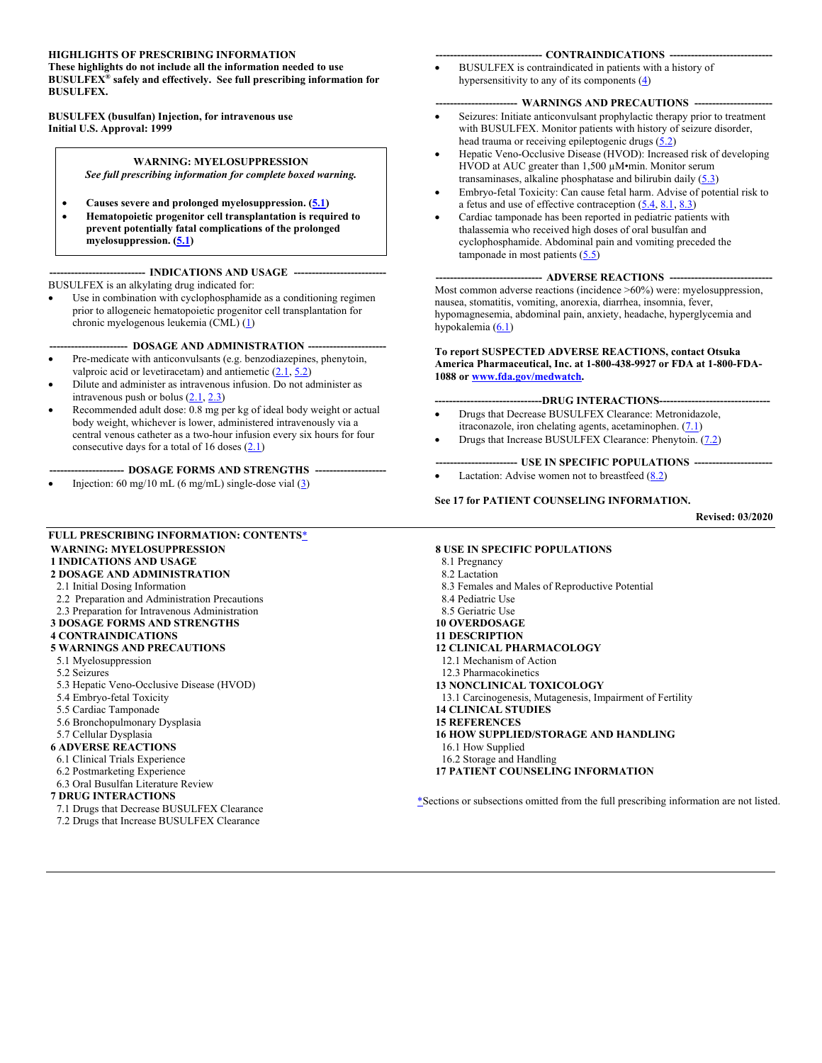#### **HIGHLIGHTS OF PRESCRIBING INFORMATION**

**These highlights do not include all the information needed to use BUSULFEX® safely and effectively. See full prescribing information for BUSULFEX.**

**BUSULFEX (busulfan) Injection, for intravenous use Initial U.S. Approval: 1999**

#### **WARNING: MYELOSUPPRESSION**  *See full prescribing information for complete boxed warning.*

- **Causes severe and prolonged myelosuppression. [\(5.1\)](#page-2-0)**
- **Hematopoietic progenitor cell transplantation is required to prevent potentially fatal complications of the prolonged myelosuppression. [\(5.1\)](#page-2-0)**

#### -- **INDICATIONS AND USAGE --**

BUSULFEX is an alkylating drug indicated for:

Use in combination with cyclophosphamide as a conditioning regimen prior to allogeneic hematopoietic progenitor cell transplantation for chronic myelogenous leukemia (CML) [\(1\)](#page-1-0)

**-- DOSAGE AND ADMINISTRATION --**

- Pre-medicate with anticonvulsants (e.g. benzodiazepines, phenytoin, valproic acid or levetiracetam) and antiemetic  $(2.1, 5.2)$  $(2.1, 5.2)$
- Dilute and administer as intravenous infusion. Do not administer as intravenous push or bolus [\(2.1,](#page-1-1) [2.3\)](#page-2-1)
- Recommended adult dose: 0.8 mg per kg of ideal body weight or actual body weight, whichever is lower, administered intravenously via a central venous catheter as a two-hour infusion every six hours for four consecutive days for a total of 16 doses [\(2.1\)](#page-1-1)

**--------------------- DOSAGE FORMS AND STRENGTHS --------------------**

• Injection: 60 mg/10 mL (6 mg/mL) single-dose vial [\(3\)](#page-2-2)

<span id="page-0-0"></span>**FULL PRESCRIBING INFORMATION: CONTENTS**[\\*](#page-1-2)

#### --- **CONTRAINDICATIONS** ----

• BUSULFEX is contraindicated in patients with a history of hypersensitivity to any of its components [\(4\)](#page-2-3)

#### -- WARNINGS AND PRECAUTIONS ---

- Seizures: Initiate anticonvulsant prophylactic therapy prior to treatment with BUSULFEX. Monitor patients with history of seizure disorder, head trauma or receiving epileptogenic drugs [\(5.2\)](#page-3-0)
- Hepatic Veno-Occlusive Disease (HVOD): Increased risk of developing HVOD at AUC greater than 1,500  $\mu$ M•min. Monitor serum transaminases, alkaline phosphatase and bilirubin daily  $(5.3)$
- Embryo-fetal Toxicity: Can cause fetal harm. Advise of potential risk to a fetus and use of effective contraception  $(5.4, 8.1, 8.3)$  $(5.4, 8.1, 8.3)$  $(5.4, 8.1, 8.3)$
- Cardiac tamponade has been reported in pediatric patients with thalassemia who received high doses of oral busulfan and cyclophosphamide. Abdominal pain and vomiting preceded the tamponade in most patients [\(5.5\)](#page-3-3)

#### --- ADVERSE REACTIONS --

Most common adverse reactions (incidence >60%) were: myelosuppression, nausea, stomatitis, vomiting, anorexia, diarrhea, insomnia, fever, hypomagnesemia, abdominal pain, anxiety, headache, hyperglycemia and hypokalemia [\(6.1\)](#page-4-0)

**To report SUSPECTED ADVERSE REACTIONS, contact Otsuka America Pharmaceutical, Inc. at 1-800-438-9927 or FDA at 1-800-FDA-1088 o[r www.fda.gov/medwatch.](http://www.fda.gov/medwatch)**

#### --DRUG INTERACTIONS--

- Drugs that Decrease BUSULFEX Clearance: Metronidazole, itraconazole, iron chelating agents, acetaminophen.  $(7.1)$
- Drugs that Increase BUSULFEX Clearance: Phenytoin. [\(7.2\)](#page-8-2)

#### -- USE IN SPECIFIC POPULATIONS ----

Lactation: Advise women not to breastfeed  $(8.2)$ 

#### **See 17 for PATIENT COUNSELING INFORMATION.**

**Revised: 03/2020**

#### **[8 USE IN SPECIFIC POPULATIONS](#page-8-4)**

- [8.1 Pregnancy](#page-8-0)
- [8.2 Lactation](#page-8-3)
- [8.3 Females and Males of Reproductive Potential](#page-8-1)
- [8.4 Pediatric Use](#page-9-0)
- [8.5 Geriatric Use](#page-11-0)

#### **[10 OVERDOSAGE](#page-11-1)**

- **[11 DESCRIPTION](#page-11-2)**
- **[12 CLINICAL PHARMACOLOGY](#page-12-0)**
- [12.1 Mechanism of Action](#page-12-1)
- [12.3 Pharmacokinetics](#page-12-2)
- **[13 NONCLINICAL TOXICOLOGY](#page-13-0)**
- [13.1 Carcinogenesis, Mutagenesis, Impairment of Fertility](#page-13-1)
- **[14 CLINICAL STUDIES](#page-13-2)**
- **[15 REFERENCES](#page-15-0)**
- **[16 HOW SUPPLIED/STORAGE AND HANDLING](#page-15-1)**
- [16.1 How Supplied](#page-15-2)
- [16.2 Storage and Handling](#page-15-3)
- **[17 PATIENT COUNSELING INFORMATION](#page-16-0)**

[\\*S](#page-0-0)ections or subsections omitted from the full prescribing information are not listed.

- 
- 

[5.3 Hepatic Veno-Occlusive Disease \(HVOD\)](#page-3-1)

- [5.4 Embryo-fetal Toxicity](#page-3-2)
- [5.5 Cardiac Tamponade](#page-3-3)
- [5.6 Bronchopulmonary Dysplasia](#page-3-4)

#### [5.7 Cellular Dysplasia](#page-4-1)

- **[6 ADVERSE REACTIONS](#page-4-2)**
- [6.1 Clinical Trials Experience](#page-4-0)
- [6.2 Postmarketing Experience](#page-6-0)
- 

#### **[7 DRUG INTERACTIONS](#page-7-1)**

- 
- 
- 7.2 Drugs that Increase BUSULFEX Clearance

[2.1 Initial Dosing Information](#page-1-1) [2.2 Preparation and Administration Precautions](#page-1-5) [2.3 Preparation for Intravenous Administration](#page-2-1) **[3 DOSAGE FORMS AND STRENGTHS](#page-2-2)**

# **[4 CONTRAINDICATIONS](#page-2-3)**

# **[5 WARNINGS AND PRECAUTIONS](#page-2-4)**

**[WARNING: MYELOSUPPRESSION](#page-1-3) [1 INDICATIONS AND USAGE](#page-1-0) [2 DOSAGE AND ADMINISTRATION](#page-1-4)**

- [5.1 Myelosuppression](#page-2-0)
- [5.2 Seizures](#page-3-0)
- 
- 
- 
- 

- -
- 
- 

- 
- 7.1 Drugs that Decrease BUSULFEX Clearance

- 
- 
- 
- 
- 
- [6.3 Oral Busulfan Literature Review](#page-6-1)
- 
- 
- 
- 
- 
- 
-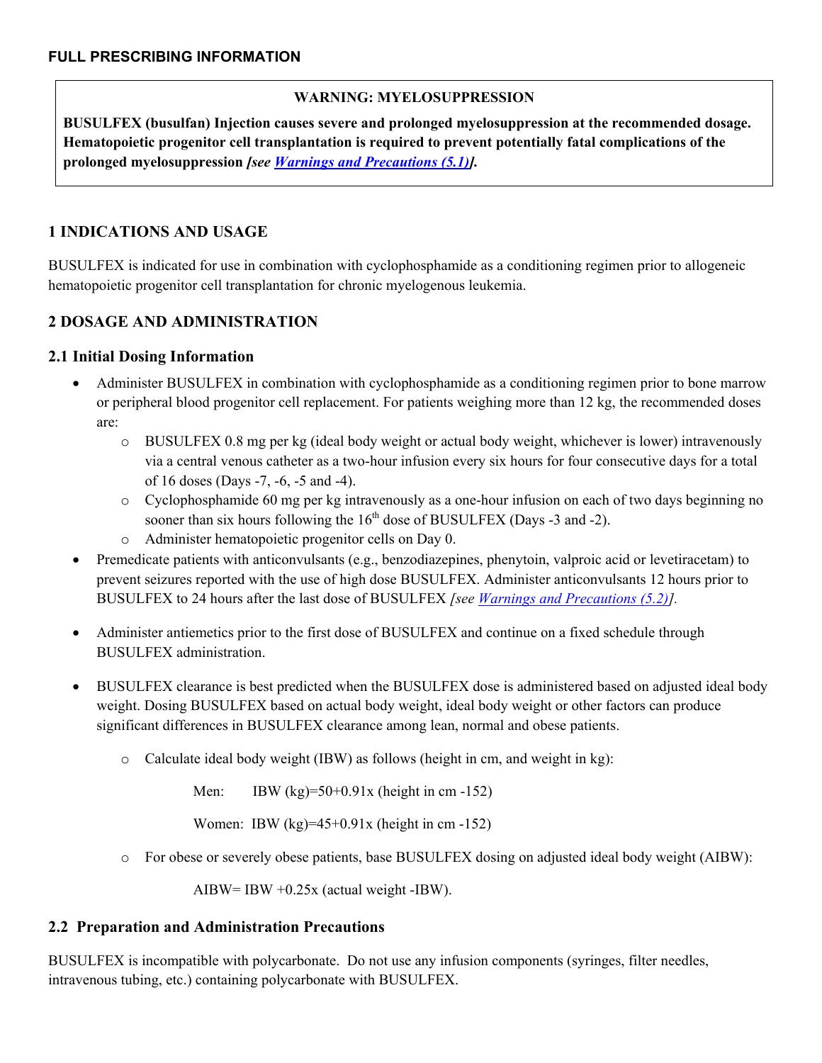#### **WARNING: MYELOSUPPRESSION**

<span id="page-1-3"></span><span id="page-1-2"></span>**BUSULFEX (busulfan) Injection causes severe and prolonged myelosuppression at the recommended dosage. Hematopoietic progenitor cell transplantation is required to prevent potentially fatal complications of the prolonged myelosuppression** *[see [Warnings and Precautions \(5.1\)\]](#page-2-0).*

# <span id="page-1-0"></span>**1 INDICATIONS AND USAGE**

BUSULFEX is indicated for use in combination with cyclophosphamide as a conditioning regimen prior to allogeneic hematopoietic progenitor cell transplantation for chronic myelogenous leukemia.

# <span id="page-1-4"></span>**2 DOSAGE AND ADMINISTRATION**

# <span id="page-1-1"></span>**2.1 Initial Dosing Information**

- Administer BUSULFEX in combination with cyclophosphamide as a conditioning regimen prior to bone marrow or peripheral blood progenitor cell replacement. For patients weighing more than 12 kg, the recommended doses are:
	- o BUSULFEX 0.8 mg per kg (ideal body weight or actual body weight, whichever is lower) intravenously via a central venous catheter as a two-hour infusion every six hours for four consecutive days for a total of 16 doses (Days -7, -6, -5 and -4).
	- o Cyclophosphamide 60 mg per kg intravenously as a one-hour infusion on each of two days beginning no sooner than six hours following the  $16<sup>th</sup>$  dose of BUSULFEX (Days -3 and -2).
	- o Administer hematopoietic progenitor cells on Day 0.
- Premedicate patients with anticonvulsants (e.g., benzodiazepines, phenytoin, valproic acid or levetiracetam) to prevent seizures reported with the use of high dose BUSULFEX. Administer anticonvulsants 12 hours prior to BUSULFEX to 24 hours after the last dose of BUSULFEX *[see Warnings and [Precautions \(5.2\)](#page-3-0)].*
- Administer antiemetics prior to the first dose of BUSULFEX and continue on a fixed schedule through BUSULFEX administration.
- BUSULFEX clearance is best predicted when the BUSULFEX dose is administered based on adjusted ideal body weight. Dosing BUSULFEX based on actual body weight, ideal body weight or other factors can produce significant differences in BUSULFEX clearance among lean, normal and obese patients.
	- $\circ$  Calculate ideal body weight (IBW) as follows (height in cm, and weight in kg):

Men: IBW (kg)= $50+0.91x$  (height in cm -152)

Women: IBW  $(kg)=45+0.91x$  (height in cm -152)

o For obese or severely obese patients, base BUSULFEX dosing on adjusted ideal body weight (AIBW):

AIBW= IBW +0.25x (actual weight -IBW).

# <span id="page-1-5"></span>**2.2 Preparation and Administration Precautions**

BUSULFEX is incompatible with polycarbonate. Do not use any infusion components (syringes, filter needles, intravenous tubing, etc.) containing polycarbonate with BUSULFEX.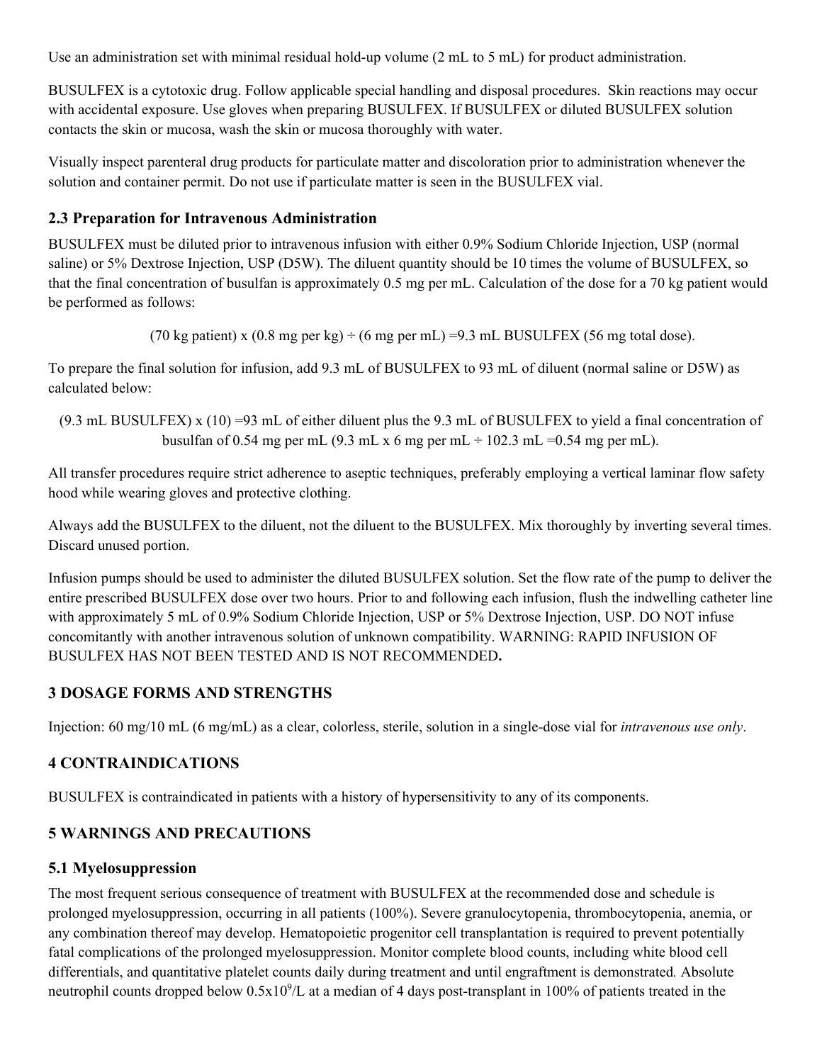Use an administration set with minimal residual hold-up volume (2 mL to 5 mL) for product administration.

BUSULFEX is a cytotoxic drug. Follow applicable special handling and disposal procedures. Skin reactions may occur with accidental exposure. Use gloves when preparing BUSULFEX. If BUSULFEX or diluted BUSULFEX solution contacts the skin or mucosa, wash the skin or mucosa thoroughly with water.

Visually inspect parenteral drug products for particulate matter and discoloration prior to administration whenever the solution and container permit. Do not use if particulate matter is seen in the BUSULFEX vial.

# <span id="page-2-1"></span>**2.3 Preparation for Intravenous Administration**

BUSULFEX must be diluted prior to intravenous infusion with either 0.9% Sodium Chloride Injection, USP (normal saline) or 5% Dextrose Injection, USP (D5W). The diluent quantity should be 10 times the volume of BUSULFEX, so that the final concentration of busulfan is approximately 0.5 mg per mL. Calculation of the dose for a 70 kg patient would be performed as follows:

(70 kg patient) x  $(0.8 \text{ mg per kg}) \div (6 \text{ mg per mL}) = 9.3 \text{ mL } BUSULEEX$  (56 mg total dose).

To prepare the final solution for infusion, add 9.3 mL of BUSULFEX to 93 mL of diluent (normal saline or D5W) as calculated below:

(9.3 mL BUSULFEX) x (10) =93 mL of either diluent plus the 9.3 mL of BUSULFEX to yield a final concentration of busulfan of 0.54 mg per mL (9.3 mL x 6 mg per mL  $\div$  102.3 mL =0.54 mg per mL).

All transfer procedures require strict adherence to aseptic techniques, preferably employing a vertical laminar flow safety hood while wearing gloves and protective clothing.

Always add the BUSULFEX to the diluent, not the diluent to the BUSULFEX. Mix thoroughly by inverting several times. Discard unused portion.

Infusion pumps should be used to administer the diluted BUSULFEX solution. Set the flow rate of the pump to deliver the entire prescribed BUSULFEX dose over two hours. Prior to and following each infusion, flush the indwelling catheter line with approximately 5 mL of 0.9% Sodium Chloride Injection, USP or 5% Dextrose Injection, USP. DO NOT infuse concomitantly with another intravenous solution of unknown compatibility. WARNING: RAPID INFUSION OF BUSULFEX HAS NOT BEEN TESTED AND IS NOT RECOMMENDED**.**

# <span id="page-2-2"></span>**3 DOSAGE FORMS AND STRENGTHS**

Injection: 60 mg/10 mL (6 mg/mL) as a clear, colorless, sterile, solution in a single-dose vial for *intravenous use only*.

# <span id="page-2-3"></span>**4 CONTRAINDICATIONS**

BUSULFEX is contraindicated in patients with a history of hypersensitivity to any of its components.

# <span id="page-2-4"></span>**5 WARNINGS AND PRECAUTIONS**

# <span id="page-2-0"></span>**5.1 Myelosuppression**

The most frequent serious consequence of treatment with BUSULFEX at the recommended dose and schedule is prolonged myelosuppression, occurring in all patients (100%). Severe granulocytopenia, thrombocytopenia, anemia, or any combination thereof may develop. Hematopoietic progenitor cell transplantation is required to prevent potentially fatal complications of the prolonged myelosuppression. Monitor complete blood counts, including white blood cell differentials, and quantitative platelet counts daily during treatment and until engraftment is demonstrated*.* Absolute neutrophil counts dropped below  $0.5x10^9$ /L at a median of 4 days post-transplant in 100% of patients treated in the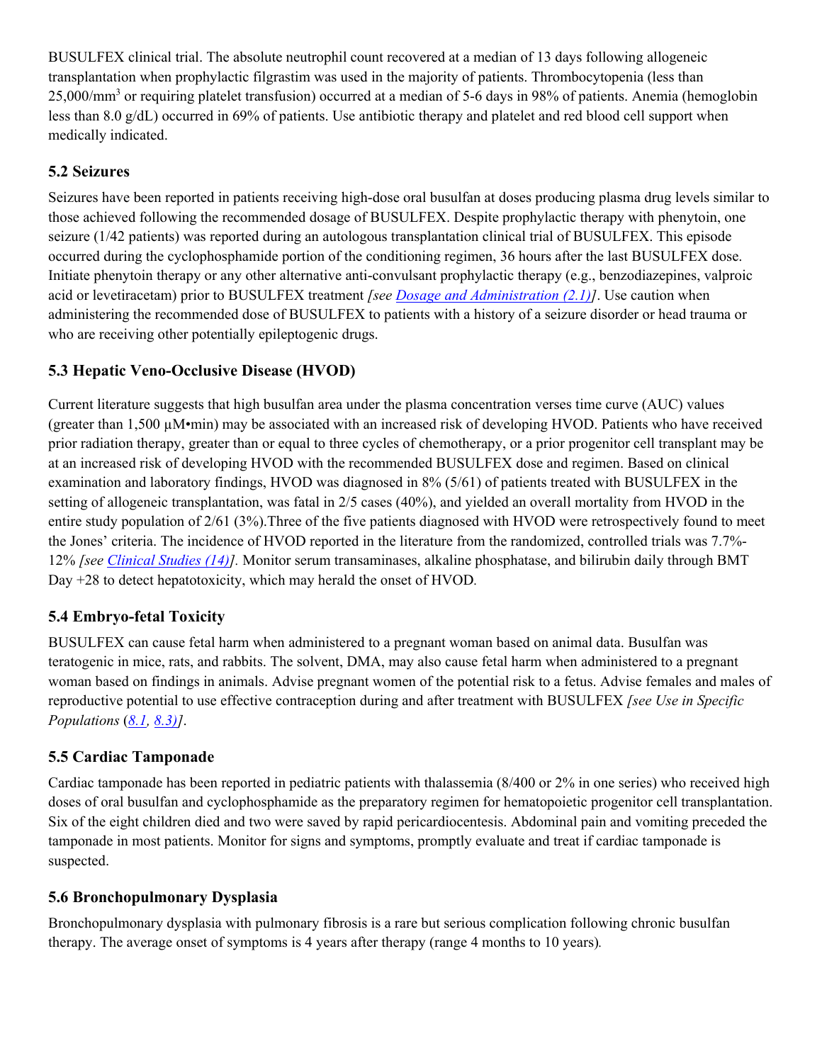BUSULFEX clinical trial. The absolute neutrophil count recovered at a median of 13 days following allogeneic transplantation when prophylactic filgrastim was used in the majority of patients. Thrombocytopenia (less than 25,000/mm3 or requiring platelet transfusion) occurred at a median of 5-6 days in 98% of patients. Anemia (hemoglobin less than 8.0 g/dL) occurred in 69% of patients. Use antibiotic therapy and platelet and red blood cell support when medically indicated.

# <span id="page-3-0"></span>**5.2 Seizures**

Seizures have been reported in patients receiving high-dose oral busulfan at doses producing plasma drug levels similar to those achieved following the recommended dosage of BUSULFEX. Despite prophylactic therapy with phenytoin, one seizure (1/42 patients) was reported during an autologous transplantation clinical trial of BUSULFEX. This episode occurred during the cyclophosphamide portion of the conditioning regimen, 36 hours after the last BUSULFEX dose. Initiate phenytoin therapy or any other alternative anti-convulsant prophylactic therapy (e.g., benzodiazepines, valproic acid or levetiracetam) prior to BUSULFEX treatment *[see [Dosage and Administration \(2.1\)\]](#page-1-1)*. Use caution when administering the recommended dose of BUSULFEX to patients with a history of a seizure disorder or head trauma or who are receiving other potentially epileptogenic drugs.

# <span id="page-3-1"></span>**5.3 Hepatic Veno-Occlusive Disease (HVOD)**

Current literature suggests that high busulfan area under the plasma concentration verses time curve (AUC) values (greater than 1,500 µM•min) may be associated with an increased risk of developing HVOD. Patients who have received prior radiation therapy, greater than or equal to three cycles of chemotherapy, or a prior progenitor cell transplant may be at an increased risk of developing HVOD with the recommended BUSULFEX dose and regimen. Based on clinical examination and laboratory findings, HVOD was diagnosed in 8% (5/61) of patients treated with BUSULFEX in the setting of allogeneic transplantation, was fatal in 2/5 cases (40%), and yielded an overall mortality from HVOD in the entire study population of  $2/61$  ( $3\%$ ). Three of the five patients diagnosed with HVOD were retrospectively found to meet the Jones' criteria. The incidence of HVOD reported in the literature from the randomized, controlled trials was 7.7%- 12% *[see [Clinical Studies \(14\)\]](#page-13-2).* Monitor serum transaminases, alkaline phosphatase, and bilirubin daily through BMT Day +28 to detect hepatotoxicity, which may herald the onset of HVOD*.*

# <span id="page-3-2"></span>**5.4 Embryo-fetal Toxicity**

BUSULFEX can cause fetal harm when administered to a pregnant woman based on animal data. Busulfan was teratogenic in mice, rats, and rabbits. The solvent, DMA, may also cause fetal harm when administered to a pregnant woman based on findings in animals. Advise pregnant women of the potential risk to a fetus. Advise females and males of reproductive potential to use effective contraception during and after treatment with BUSULFEX *[see Use in Specific Populations* (*[8.1,](#page-8-0) [8.3\)\]](#page-8-1)*.

# <span id="page-3-3"></span>**5.5 Cardiac Tamponade**

Cardiac tamponade has been reported in pediatric patients with thalassemia (8/400 or 2% in one series) who received high doses of oral busulfan and cyclophosphamide as the preparatory regimen for hematopoietic progenitor cell transplantation. Six of the eight children died and two were saved by rapid pericardiocentesis. Abdominal pain and vomiting preceded the tamponade in most patients. Monitor for signs and symptoms, promptly evaluate and treat if cardiac tamponade is suspected.

# <span id="page-3-4"></span>**5.6 Bronchopulmonary Dysplasia**

Bronchopulmonary dysplasia with pulmonary fibrosis is a rare but serious complication following chronic busulfan therapy. The average onset of symptoms is 4 years after therapy (range 4 months to 10 years)*.*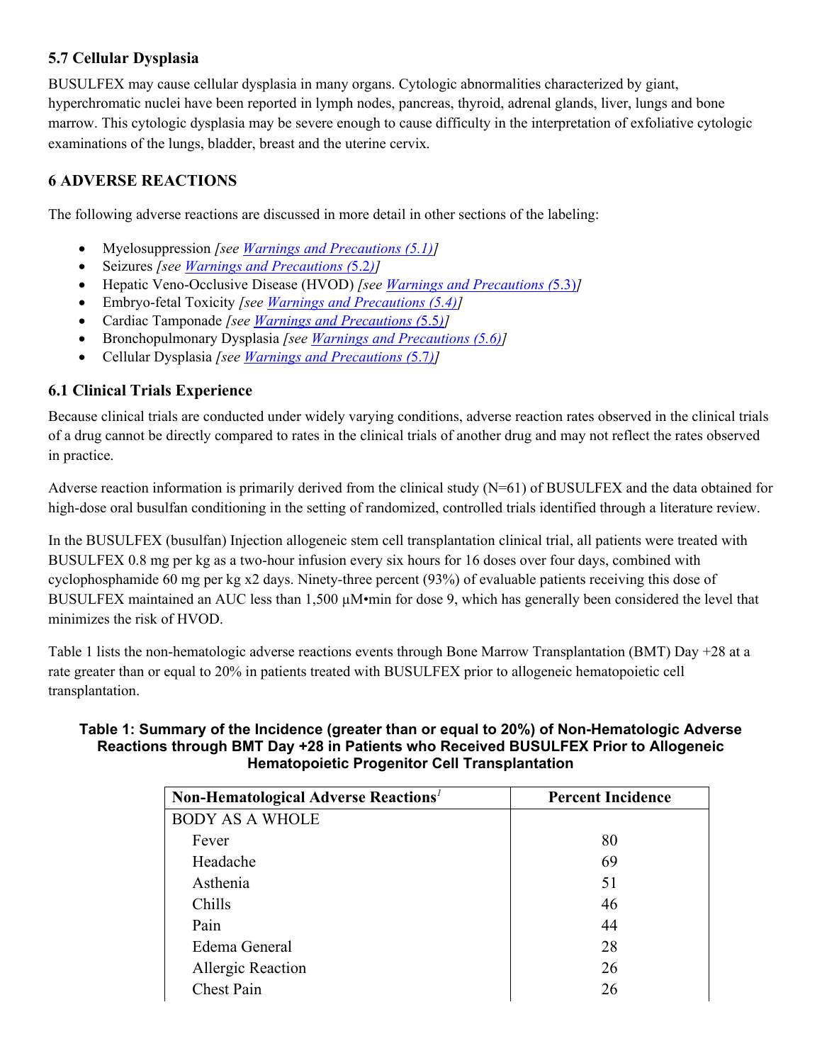# <span id="page-4-1"></span>**5.7 Cellular Dysplasia**

BUSULFEX may cause cellular dysplasia in many organs. Cytologic abnormalities characterized by giant, hyperchromatic nuclei have been reported in lymph nodes, pancreas, thyroid, adrenal glands, liver, lungs and bone marrow. This cytologic dysplasia may be severe enough to cause difficulty in the interpretation of exfoliative cytologic examinations of the lungs, bladder, breast and the uterine cervix*.*

# <span id="page-4-2"></span>**6 ADVERSE REACTIONS**

The following adverse reactions are discussed in more detail in other sections of the labeling:

- Myelosuppression *[see [Warnings and Precautions \(5.1\)\]](#page-2-0)*
- Seizures *[see [Warnings and Precautions \(](#page-3-0)*5.2*)]*
- Hepatic Veno-Occlusive Disease (HVOD) *[see [Warnings and Precautions \(](#page-3-1)*5.3)*]*
- Embryo-fetal Toxicity *[see [Warnings and Precautions \(5.4\)\]](#page-3-2)*
- Cardiac Tamponade *[see [Warnings and Precautions \(](#page-3-3)*5.5*)]*
- Bronchopulmonary Dysplasia *[see [Warnings and Precautions \(5.6\)\]](#page-3-4)*
- Cellular Dysplasia *[see [Warnings and Precautions \(](#page-4-1)*5.7*)]*

# <span id="page-4-0"></span>**6.1 Clinical Trials Experience**

Because clinical trials are conducted under widely varying conditions, adverse reaction rates observed in the clinical trials of a drug cannot be directly compared to rates in the clinical trials of another drug and may not reflect the rates observed in practice.

Adverse reaction information is primarily derived from the clinical study (N=61) of BUSULFEX and the data obtained for high-dose oral busulfan conditioning in the setting of randomized, controlled trials identified through a literature review.

In the BUSULFEX (busulfan) Injection allogeneic stem cell transplantation clinical trial, all patients were treated with BUSULFEX 0.8 mg per kg as a two-hour infusion every six hours for 16 doses over four days, combined with cyclophosphamide 60 mg per kg x2 days. Ninety-three percent (93%) of evaluable patients receiving this dose of BUSULFEX maintained an AUC less than 1,500  $\mu$ M•min for dose 9, which has generally been considered the level that minimizes the risk of HVOD.

Table 1 lists the non-hematologic adverse reactions events through Bone Marrow Transplantation (BMT) Day +28 at a rate greater than or equal to 20% in patients treated with BUSULFEX prior to allogeneic hematopoietic cell transplantation.

#### **Table 1: Summary of the Incidence (greater than or equal to 20%) of Non-Hematologic Adverse Reactions through BMT Day +28 in Patients who Received BUSULFEX Prior to Allogeneic Hematopoietic Progenitor Cell Transplantation**

| Non-Hematological Adverse Reactions <sup>1</sup> | <b>Percent Incidence</b> |
|--------------------------------------------------|--------------------------|
| <b>BODY AS A WHOLE</b>                           |                          |
| Fever                                            | 80                       |
| Headache                                         | 69                       |
| Asthenia                                         | 51                       |
| Chills                                           | 46                       |
| Pain                                             | 44                       |
| Edema General                                    | 28                       |
| Allergic Reaction                                | 26                       |
| <b>Chest Pain</b>                                | 26                       |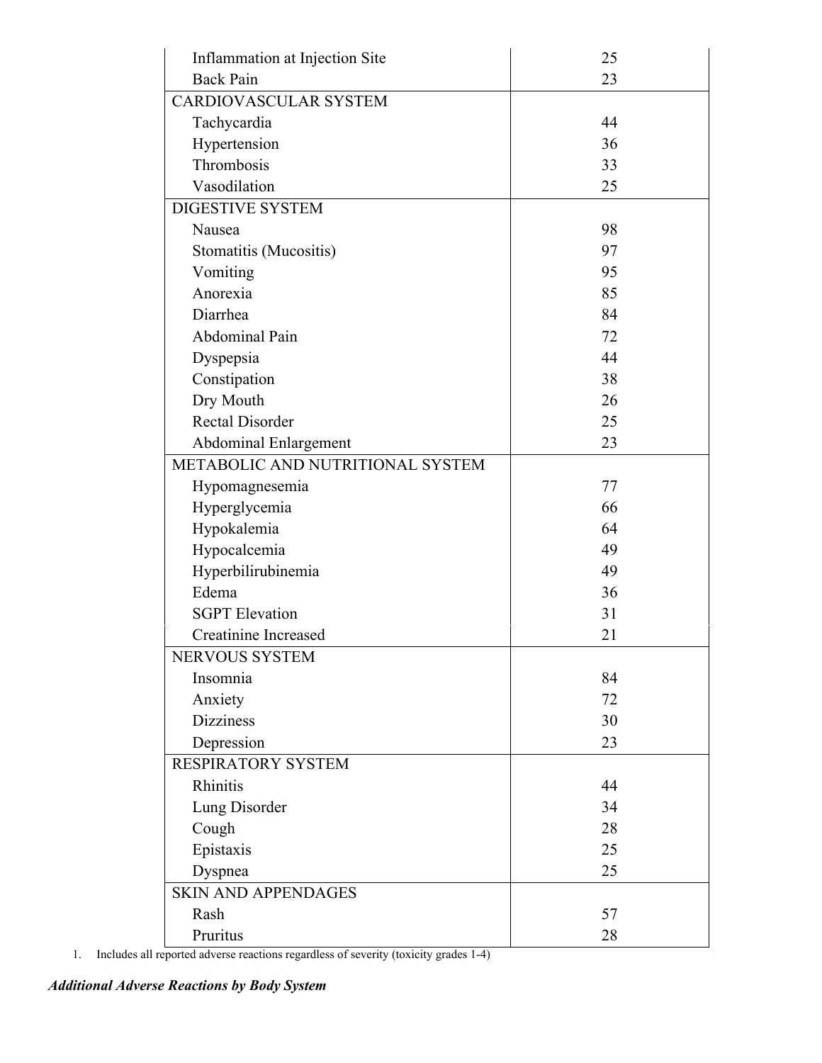| Inflammation at Injection Site   | 25 |  |  |  |
|----------------------------------|----|--|--|--|
| <b>Back Pain</b>                 | 23 |  |  |  |
| CARDIOVASCULAR SYSTEM            |    |  |  |  |
| Tachycardia                      | 44 |  |  |  |
| Hypertension                     | 36 |  |  |  |
| Thrombosis                       | 33 |  |  |  |
| Vasodilation                     | 25 |  |  |  |
| <b>DIGESTIVE SYSTEM</b>          |    |  |  |  |
| Nausea                           | 98 |  |  |  |
| Stomatitis (Mucositis)           | 97 |  |  |  |
| Vomiting                         | 95 |  |  |  |
| Anorexia                         | 85 |  |  |  |
| Diarrhea                         | 84 |  |  |  |
| Abdominal Pain                   | 72 |  |  |  |
| Dyspepsia                        | 44 |  |  |  |
| Constipation                     | 38 |  |  |  |
| Dry Mouth                        | 26 |  |  |  |
| <b>Rectal Disorder</b>           | 25 |  |  |  |
| <b>Abdominal Enlargement</b>     | 23 |  |  |  |
| METABOLIC AND NUTRITIONAL SYSTEM |    |  |  |  |
| Hypomagnesemia                   | 77 |  |  |  |
| Hyperglycemia                    | 66 |  |  |  |
| Hypokalemia                      | 64 |  |  |  |
| Hypocalcemia                     | 49 |  |  |  |
| Hyperbilirubinemia               | 49 |  |  |  |
| Edema                            | 36 |  |  |  |
| <b>SGPT</b> Elevation            | 31 |  |  |  |
| Creatinine Increased             | 21 |  |  |  |
| <b>NERVOUS SYSTEM</b>            |    |  |  |  |
| Insomnia                         | 84 |  |  |  |
| Anxiety                          | 72 |  |  |  |
| <b>Dizziness</b>                 | 30 |  |  |  |
| Depression                       | 23 |  |  |  |
| <b>RESPIRATORY SYSTEM</b>        |    |  |  |  |
| Rhinitis                         | 44 |  |  |  |
| Lung Disorder                    | 34 |  |  |  |
| Cough                            | 28 |  |  |  |
| Epistaxis                        | 25 |  |  |  |
| Dyspnea                          | 25 |  |  |  |
| <b>SKIN AND APPENDAGES</b>       |    |  |  |  |
| Rash                             | 57 |  |  |  |
| Pruritus                         | 28 |  |  |  |

<span id="page-5-0"></span>1. Includes all reported adverse reactions regardless of severity (toxicity grades 1-4)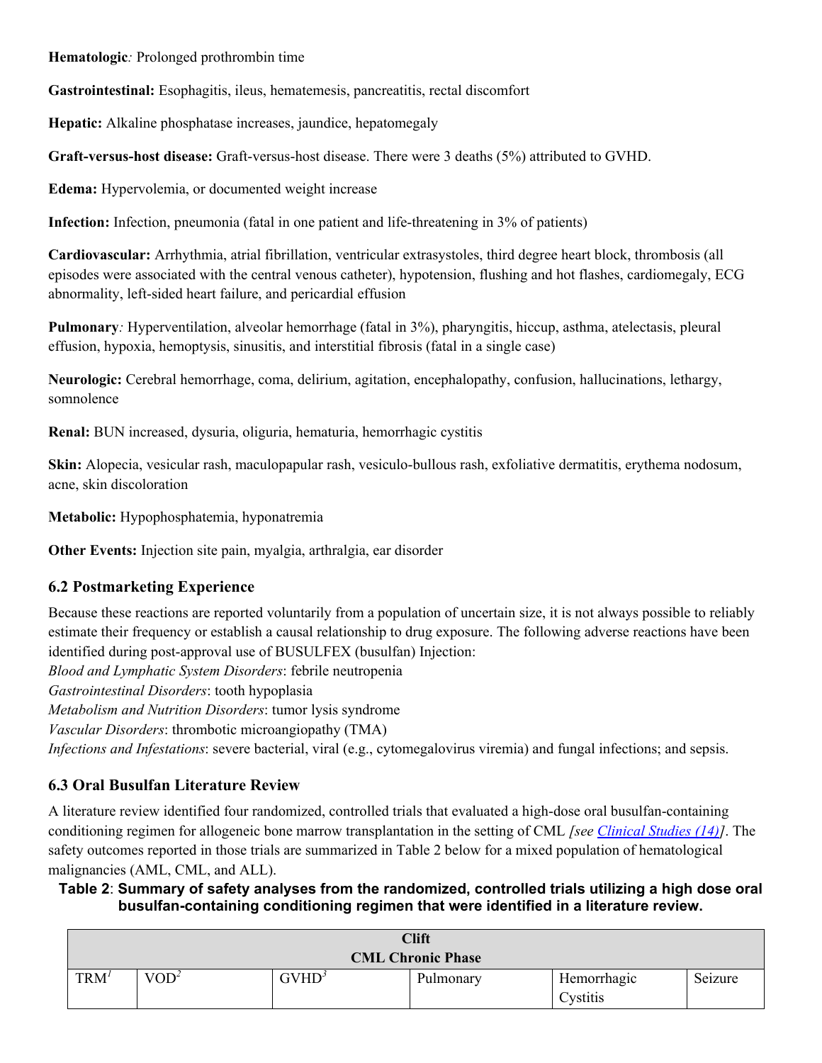**Hematologic***:* Prolonged prothrombin time

**Gastrointestinal:** Esophagitis, ileus, hematemesis, pancreatitis, rectal discomfort

**Hepatic:** Alkaline phosphatase increases, jaundice, hepatomegaly

**Graft-versus-host disease:** Graft-versus-host disease. There were 3 deaths (5%) attributed to GVHD.

**Edema:** Hypervolemia, or documented weight increase

**Infection:** Infection, pneumonia (fatal in one patient and life-threatening in 3% of patients)

**Cardiovascular:** Arrhythmia, atrial fibrillation, ventricular extrasystoles, third degree heart block, thrombosis (all episodes were associated with the central venous catheter), hypotension, flushing and hot flashes, cardiomegaly, ECG abnormality, left-sided heart failure, and pericardial effusion

**Pulmonary***:* Hyperventilation, alveolar hemorrhage (fatal in 3%), pharyngitis, hiccup, asthma, atelectasis, pleural effusion, hypoxia, hemoptysis, sinusitis, and interstitial fibrosis (fatal in a single case)

**Neurologic:** Cerebral hemorrhage, coma, delirium, agitation, encephalopathy, confusion, hallucinations, lethargy, somnolence

**Renal:** BUN increased, dysuria, oliguria, hematuria, hemorrhagic cystitis

**Skin:** Alopecia, vesicular rash, maculopapular rash, vesiculo-bullous rash, exfoliative dermatitis, erythema nodosum, acne, skin discoloration

**Metabolic:** Hypophosphatemia, hyponatremia

**Other Events:** Injection site pain, myalgia, arthralgia, ear disorder

## <span id="page-6-0"></span>**6.2 Postmarketing Experience**

Because these reactions are reported voluntarily from a population of uncertain size, it is not always possible to reliably estimate their frequency or establish a causal relationship to drug exposure. The following adverse reactions have been identified during post-approval use of BUSULFEX (busulfan) Injection:

*Blood and Lymphatic System Disorders*: febrile neutropenia

*Gastrointestinal Disorders*: tooth hypoplasia

*Metabolism and Nutrition Disorders*: tumor lysis syndrome

*Vascular Disorders*: thrombotic microangiopathy (TMA)

<span id="page-6-1"></span>*Infections and Infestations*: severe bacterial, viral (e.g., cytomegalovirus viremia) and fungal infections; and sepsis.

# **6.3 Oral Busulfan Literature Review**

A literature review identified four randomized, controlled trials that evaluated a high-dose oral busulfan-containing conditioning regimen for allogeneic bone marrow transplantation in the setting of CML *[see [Clinical Studies \(14\)\]](#page-13-2)*. The safety outcomes reported in those trials are summarized in Table 2 below for a mixed population of hematological malignancies (AML, CML, and ALL).

## **Table 2**: **Summary of safety analyses from the randomized, controlled trials utilizing a high dose oral busulfan-containing conditioning regimen that were identified in a literature review.**

| <b>Clift</b> |                          |          |           |             |         |  |
|--------------|--------------------------|----------|-----------|-------------|---------|--|
|              | <b>CML Chronic Phase</b> |          |           |             |         |  |
| TRM'         | VOD <sup>2</sup>         | $GVHD^3$ | Pulmonary | Hemorrhagic | Seizure |  |
|              |                          |          |           | Cystitis    |         |  |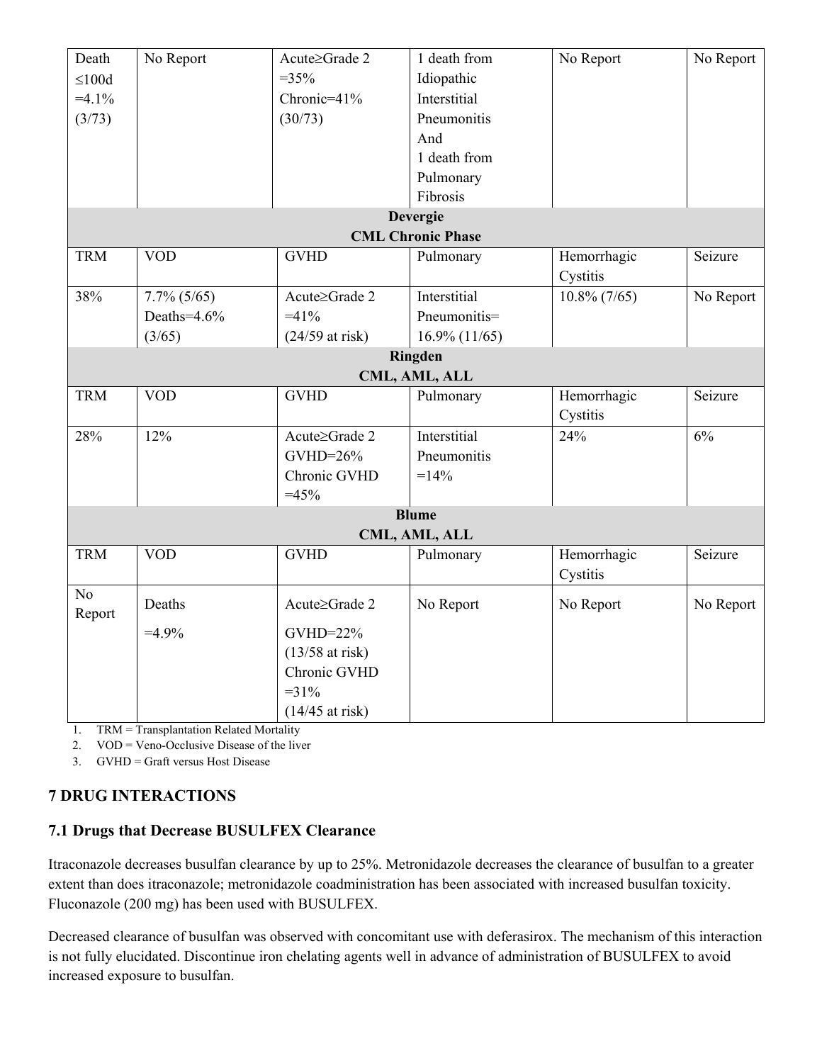| Death                    | No Report      | Acute≥Grade 2     | 1 death from             | No Report               | No Report |
|--------------------------|----------------|-------------------|--------------------------|-------------------------|-----------|
| $\leq 100d$              |                | $=35%$            | Idiopathic               |                         |           |
| $=4.1\%$                 |                | Chronic=41%       | Interstitial             |                         |           |
| (3/73)                   |                | (30/73)           | Pneumonitis              |                         |           |
|                          |                |                   | And                      |                         |           |
|                          |                |                   | 1 death from             |                         |           |
|                          |                |                   | Pulmonary                |                         |           |
|                          |                |                   | Fibrosis                 |                         |           |
|                          |                |                   | <b>Devergie</b>          |                         |           |
|                          |                |                   | <b>CML Chronic Phase</b> |                         |           |
| <b>TRM</b>               | <b>VOD</b>     | <b>GVHD</b>       | Pulmonary                | Hemorrhagic             | Seizure   |
|                          |                |                   |                          | Cystitis                |           |
| 38%                      | $7.7\%$ (5/65) | Acute≥Grade 2     | Interstitial             | $10.8\%$ (7/65)         | No Report |
|                          | Deaths=4.6%    | $=41%$            | Pneumonitis=             |                         |           |
|                          | (3/65)         | $(24/59$ at risk) | $16.9\%$ (11/65)         |                         |           |
|                          |                |                   | Ringden                  |                         |           |
|                          |                |                   | CML, AML, ALL            |                         |           |
| <b>TRM</b>               | <b>VOD</b>     | <b>GVHD</b>       | Pulmonary                | Hemorrhagic             | Seizure   |
|                          |                |                   |                          | Cystitis                |           |
| 28%                      | 12%            | Acute≥Grade 2     | Interstitial             | 24%                     | 6%        |
|                          |                | GVHD=26%          | Pneumonitis              |                         |           |
|                          |                | Chronic GVHD      | $=14%$                   |                         |           |
|                          |                | $=45%$            |                          |                         |           |
|                          |                |                   | <b>Blume</b>             |                         |           |
|                          |                |                   | CML, AML, ALL            |                         |           |
| <b>TRM</b>               | <b>VOD</b>     | <b>GVHD</b>       | Pulmonary                | Hemorrhagic<br>Cystitis | Seizure   |
| N <sub>o</sub><br>Report | Deaths         | Acute≥Grade 2     | No Report                | No Report               | No Report |
|                          | $=4.9%$        | GVHD=22%          |                          |                         |           |
|                          |                | $(13/58$ at risk) |                          |                         |           |
|                          |                | Chronic GVHD      |                          |                         |           |
|                          |                | $=31%$            |                          |                         |           |
|                          |                | $(14/45$ at risk) |                          |                         |           |

<span id="page-7-2"></span>1. TRM = Transplantation Related Mortality

<span id="page-7-3"></span>2. VOD = Veno-Occlusive Disease of the liver

<span id="page-7-4"></span>3. GVHD = Graft versus Host Disease

# <span id="page-7-1"></span>**7 DRUG INTERACTIONS**

# <span id="page-7-0"></span>**7.1 Drugs that Decrease BUSULFEX Clearance**

Itraconazole decreases busulfan clearance by up to 25%. Metronidazole decreases the clearance of busulfan to a greater extent than does itraconazole; metronidazole coadministration has been associated with increased busulfan toxicity. Fluconazole (200 mg) has been used with BUSULFEX.

Decreased clearance of busulfan was observed with concomitant use with deferasirox. The mechanism of this interaction is not fully elucidated. Discontinue iron chelating agents well in advance of administration of BUSULFEX to avoid increased exposure to busulfan.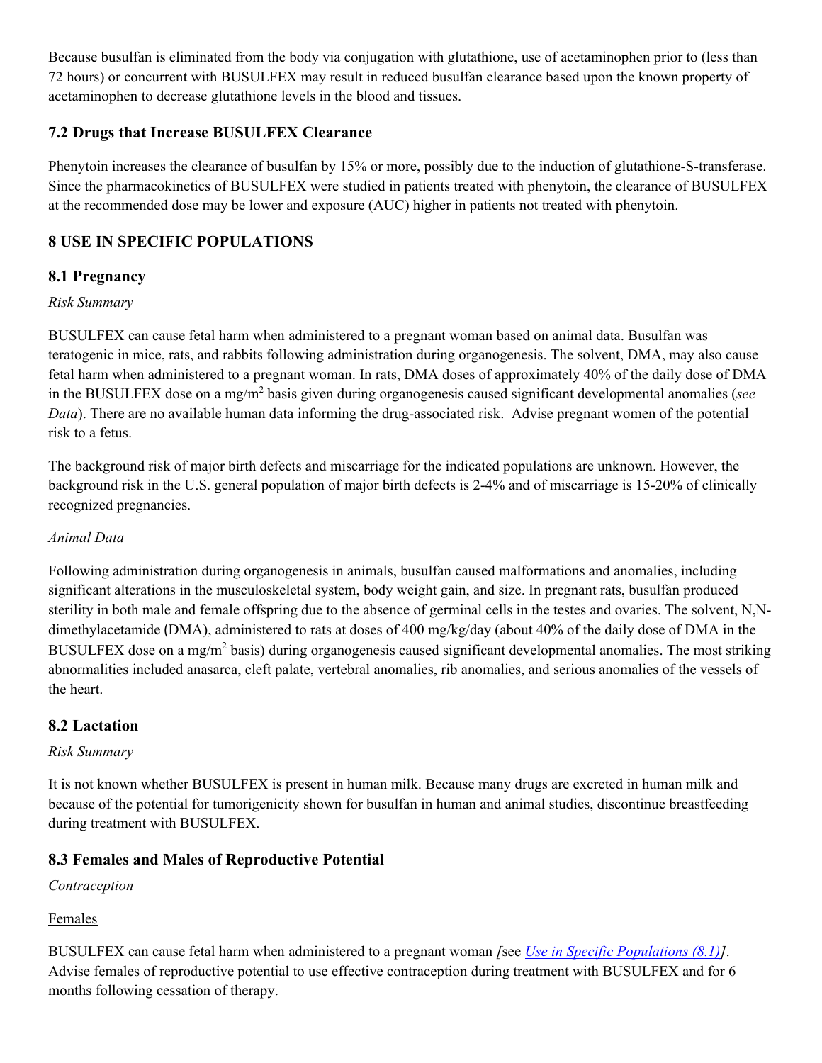Because busulfan is eliminated from the body via conjugation with glutathione, use of acetaminophen prior to (less than 72 hours) or concurrent with BUSULFEX may result in reduced busulfan clearance based upon the known property of acetaminophen to decrease glutathione levels in the blood and tissues.

# <span id="page-8-2"></span>**7.2 Drugs that Increase BUSULFEX Clearance**

Phenytoin increases the clearance of busulfan by 15% or more, possibly due to the induction of glutathione-S-transferase. Since the pharmacokinetics of BUSULFEX were studied in patients treated with phenytoin, the clearance of BUSULFEX at the recommended dose may be lower and exposure (AUC) higher in patients not treated with phenytoin.

# <span id="page-8-4"></span>**8 USE IN SPECIFIC POPULATIONS**

# <span id="page-8-0"></span>**8.1 Pregnancy**

## *Risk Summary*

BUSULFEX can cause fetal harm when administered to a pregnant woman based on animal data. Busulfan was teratogenic in mice, rats, and rabbits following administration during organogenesis. The solvent, DMA, may also cause fetal harm when administered to a pregnant woman. In rats, DMA doses of approximately 40% of the daily dose of DMA in the BUSULFEX dose on a mg/m2 basis given during organogenesis caused significant developmental anomalies (*see Data*). There are no available human data informing the drug-associated risk. Advise pregnant women of the potential risk to a fetus.

The background risk of major birth defects and miscarriage for the indicated populations are unknown. However, the background risk in the U.S. general population of major birth defects is 2-4% and of miscarriage is 15-20% of clinically recognized pregnancies.

## *Animal Data*

Following administration during organogenesis in animals, busulfan caused malformations and anomalies, including significant alterations in the musculoskeletal system, body weight gain, and size. In pregnant rats, busulfan produced sterility in both male and female offspring due to the absence of germinal cells in the testes and ovaries. The solvent, N,Ndimethylacetamide (DMA), administered to rats at doses of 400 mg/kg/day (about 40% of the daily dose of DMA in the BUSULFEX dose on a mg/m<sup>2</sup> basis) during organogenesis caused significant developmental anomalies. The most striking abnormalities included anasarca, cleft palate, vertebral anomalies, rib anomalies, and serious anomalies of the vessels of the heart.

# <span id="page-8-3"></span>**8.2 Lactation**

## *Risk Summary*

It is not known whether BUSULFEX is present in human milk. Because many drugs are excreted in human milk and because of the potential for tumorigenicity shown for busulfan in human and animal studies, discontinue breastfeeding during treatment with BUSULFEX.

# <span id="page-8-1"></span>**8.3 Females and Males of Reproductive Potential**

*Contraception*

# Females

BUSULFEX can cause fetal harm when administered to a pregnant woman *[*see *[Use in Specific Populations \(8.1\)\]](#page-8-0)*. Advise females of reproductive potential to use effective contraception during treatment with BUSULFEX and for 6 months following cessation of therapy.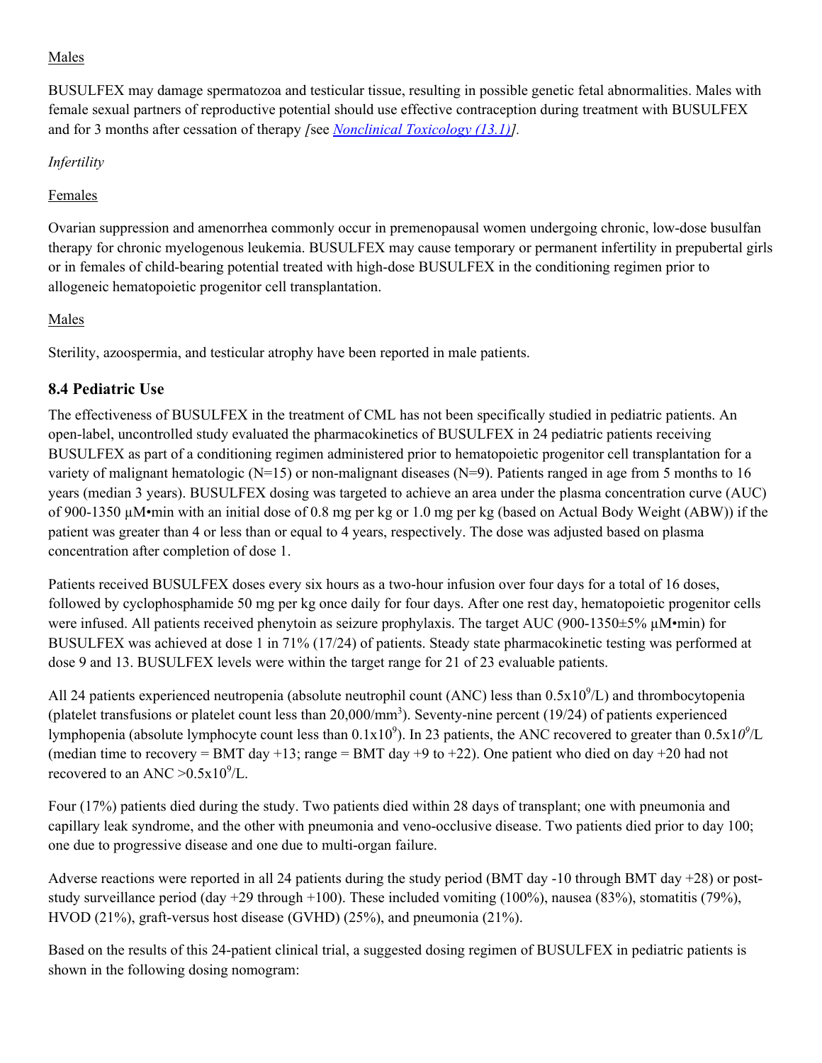# Males

BUSULFEX may damage spermatozoa and testicular tissue, resulting in possible genetic fetal abnormalities. Males with female sexual partners of reproductive potential should use effective contraception during treatment with BUSULFEX and for 3 months after cessation of therapy *[*see *[Nonclinical Toxicology \(13.1\)\]](#page-13-1).*

# *Infertility*

# Females

Ovarian suppression and amenorrhea commonly occur in premenopausal women undergoing chronic, low-dose busulfan therapy for chronic myelogenous leukemia. BUSULFEX may cause temporary or permanent infertility in prepubertal girls or in females of child-bearing potential treated with high-dose BUSULFEX in the conditioning regimen prior to allogeneic hematopoietic progenitor cell transplantation.

## Males

Sterility, azoospermia, and testicular atrophy have been reported in male patients.

# <span id="page-9-0"></span>**8.4 Pediatric Use**

The effectiveness of BUSULFEX in the treatment of CML has not been specifically studied in pediatric patients. An open-label, uncontrolled study evaluated the pharmacokinetics of BUSULFEX in 24 pediatric patients receiving BUSULFEX as part of a conditioning regimen administered prior to hematopoietic progenitor cell transplantation for a variety of malignant hematologic (N=15) or non-malignant diseases (N=9). Patients ranged in age from 5 months to 16 years (median 3 years). BUSULFEX dosing was targeted to achieve an area under the plasma concentration curve (AUC) of 900-1350 µM•min with an initial dose of 0.8 mg per kg or 1.0 mg per kg (based on Actual Body Weight (ABW)) if the patient was greater than 4 or less than or equal to 4 years, respectively. The dose was adjusted based on plasma concentration after completion of dose 1.

Patients received BUSULFEX doses every six hours as a two-hour infusion over four days for a total of 16 doses, followed by cyclophosphamide 50 mg per kg once daily for four days. After one rest day, hematopoietic progenitor cells were infused. All patients received phenytoin as seizure prophylaxis. The target AUC (900-1350±5% µM•min) for BUSULFEX was achieved at dose 1 in 71% (17/24) of patients. Steady state pharmacokinetic testing was performed at dose 9 and 13. BUSULFEX levels were within the target range for 21 of 23 evaluable patients.

All 24 patients experienced neutropenia (absolute neutrophil count (ANC) less than  $0.5x10^9/L$ ) and thrombocytopenia (platelet transfusions or platelet count less than  $20,000/\text{mm}^3$ ). Seventy-nine percent (19/24) of patients experienced lymphopenia (absolute lymphocyte count less than  $0.1x10^9$ ). In 23 patients, the ANC recovered to greater than  $0.5x10^9$ /L (median time to recovery = BMT day +13; range = BMT day +9 to +22). One patient who died on day +20 had not recovered to an ANC  $>0.5x10^9$ /L.

Four (17%) patients died during the study. Two patients died within 28 days of transplant; one with pneumonia and capillary leak syndrome, and the other with pneumonia and veno-occlusive disease. Two patients died prior to day 100; one due to progressive disease and one due to multi-organ failure.

Adverse reactions were reported in all 24 patients during the study period (BMT day -10 through BMT day +28) or poststudy surveillance period (day +29 through +100). These included vomiting (100%), nausea (83%), stomatitis (79%), HVOD (21%), graft-versus host disease (GVHD) (25%), and pneumonia (21%).

Based on the results of this 24-patient clinical trial, a suggested dosing regimen of BUSULFEX in pediatric patients is shown in the following dosing nomogram: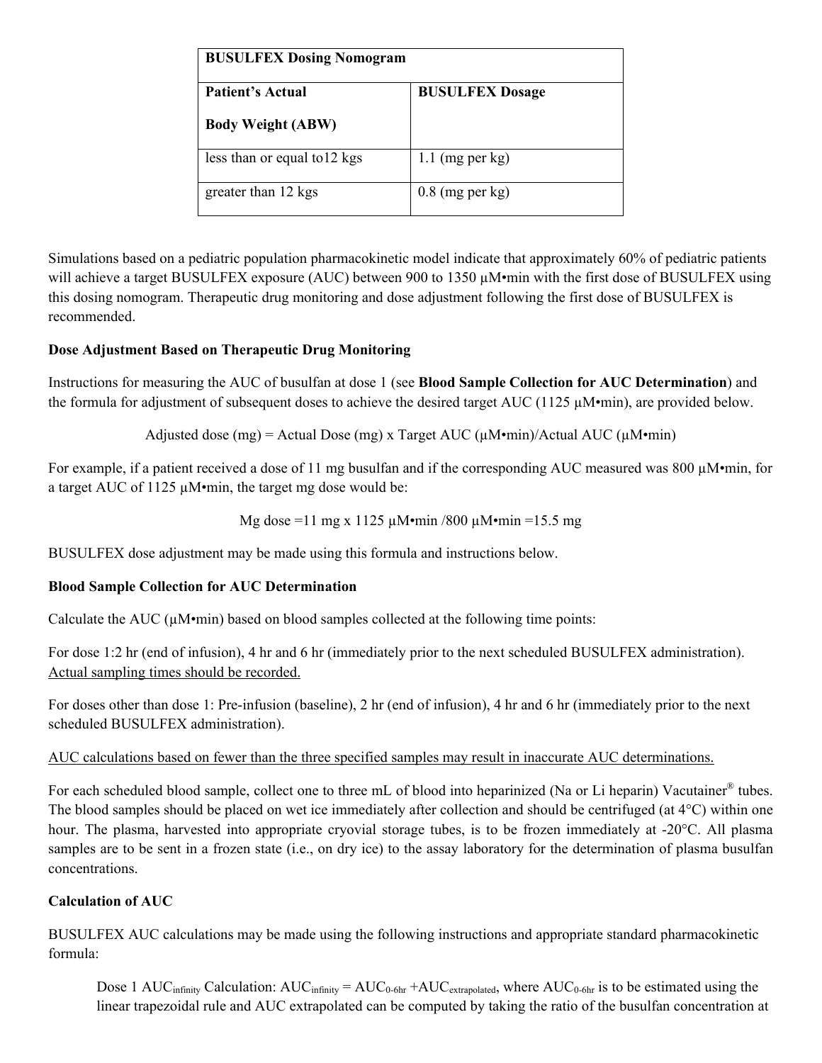| <b>BUSULFEX Dosing Nomogram</b> |                        |  |  |  |
|---------------------------------|------------------------|--|--|--|
| <b>Patient's Actual</b>         | <b>BUSULFEX Dosage</b> |  |  |  |
| <b>Body Weight (ABW)</b>        |                        |  |  |  |
| less than or equal to 12 kgs    | 1.1 (mg per $kg$ )     |  |  |  |
| greater than 12 kgs             | $0.8$ (mg per kg)      |  |  |  |

Simulations based on a pediatric population pharmacokinetic model indicate that approximately 60% of pediatric patients will achieve a target BUSULFEX exposure (AUC) between 900 to 1350  $\mu$ M•min with the first dose of BUSULFEX using this dosing nomogram. Therapeutic drug monitoring and dose adjustment following the first dose of BUSULFEX is recommended.

## **Dose Adjustment Based on Therapeutic Drug Monitoring**

Instructions for measuring the AUC of busulfan at dose 1 (see **Blood Sample Collection for AUC Determination**) and the formula for adjustment of subsequent doses to achieve the desired target AUC (1125  $\mu$ M•min), are provided below.

Adjusted dose (mg) = Actual Dose (mg) x Target AUC ( $\mu$ M•min)/Actual AUC ( $\mu$ M•min)

For example, if a patient received a dose of 11 mg busulfan and if the corresponding AUC measured was 800  $\mu$ M•min, for a target AUC of 1125  $\mu$ M•min, the target mg dose would be:

Mg dose =11 mg x 1125  $\mu$ M•min /800  $\mu$ M•min =15.5 mg

BUSULFEX dose adjustment may be made using this formula and instructions below.

#### **Blood Sample Collection for AUC Determination**

Calculate the AUC ( $\mu$ M•min) based on blood samples collected at the following time points:

For dose 1:2 hr (end of infusion), 4 hr and 6 hr (immediately prior to the next scheduled BUSULFEX administration). Actual sampling times should be recorded.

For doses other than dose 1: Pre-infusion (baseline), 2 hr (end of infusion), 4 hr and 6 hr (immediately prior to the next scheduled BUSULFEX administration).

## AUC calculations based on fewer than the three specified samples may result in inaccurate AUC determinations.

For each scheduled blood sample, collect one to three mL of blood into heparinized (Na or Li heparin) Vacutainer<sup>®</sup> tubes. The blood samples should be placed on wet ice immediately after collection and should be centrifuged (at 4°C) within one hour. The plasma, harvested into appropriate cryovial storage tubes, is to be frozen immediately at -20°C. All plasma samples are to be sent in a frozen state (i.e., on dry ice) to the assay laboratory for the determination of plasma busulfan concentrations.

## **Calculation of AUC**

BUSULFEX AUC calculations may be made using the following instructions and appropriate standard pharmacokinetic formula:

Dose 1 AUC<sub>infinity</sub> Calculation:  $AUC_{infinite} = AUC_{0-6hr} + AUC_{extrapolated}$ , where  $AUC_{0-6hr}$  is to be estimated using the linear trapezoidal rule and AUC extrapolated can be computed by taking the ratio of the busulfan concentration at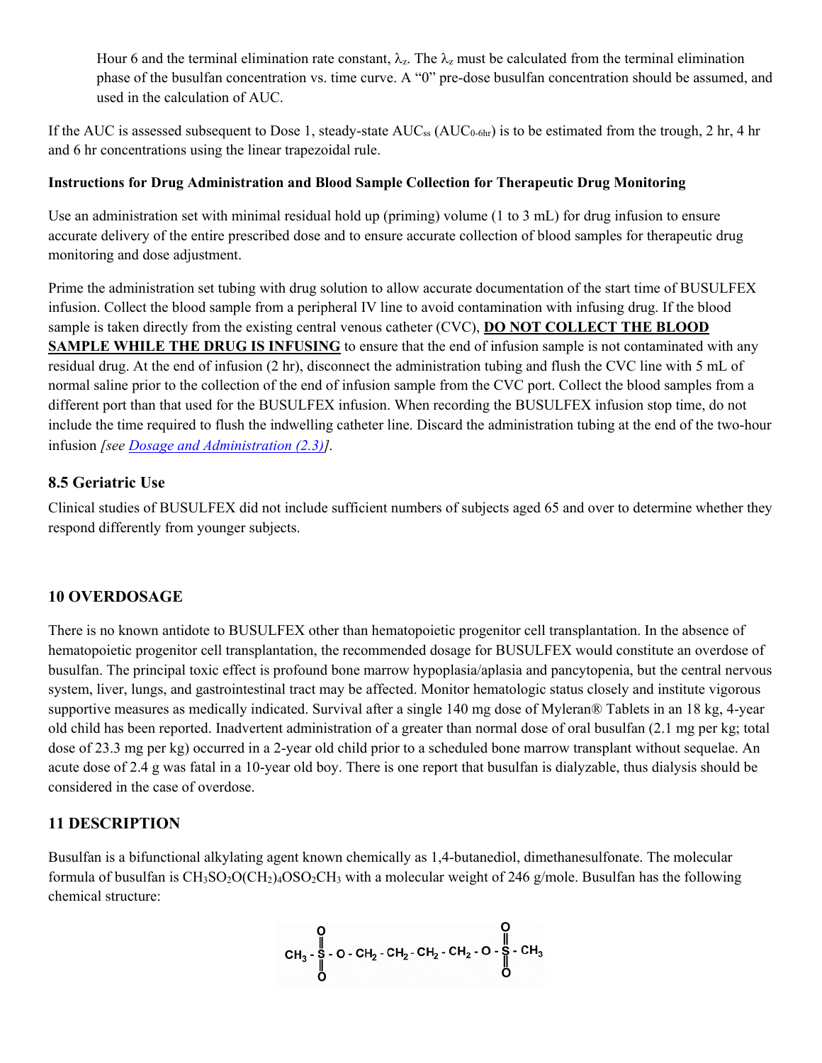Hour 6 and the terminal elimination rate constant,  $\lambda_z$ . The  $\lambda_z$  must be calculated from the terminal elimination phase of the busulfan concentration vs. time curve. A "0" pre-dose busulfan concentration should be assumed, and used in the calculation of AUC.

If the AUC is assessed subsequent to Dose 1, steady-state  $AUC_{ss}$  ( $AUC_{0-6hr}$ ) is to be estimated from the trough, 2 hr, 4 hr and 6 hr concentrations using the linear trapezoidal rule.

## **Instructions for Drug Administration and Blood Sample Collection for Therapeutic Drug Monitoring**

Use an administration set with minimal residual hold up (priming) volume (1 to 3 mL) for drug infusion to ensure accurate delivery of the entire prescribed dose and to ensure accurate collection of blood samples for therapeutic drug monitoring and dose adjustment.

Prime the administration set tubing with drug solution to allow accurate documentation of the start time of BUSULFEX infusion. Collect the blood sample from a peripheral IV line to avoid contamination with infusing drug. If the blood sample is taken directly from the existing central venous catheter (CVC), **DO NOT COLLECT THE BLOOD SAMPLE WHILE THE DRUG IS INFUSING** to ensure that the end of infusion sample is not contaminated with any residual drug. At the end of infusion (2 hr), disconnect the administration tubing and flush the CVC line with 5 mL of normal saline prior to the collection of the end of infusion sample from the CVC port. Collect the blood samples from a different port than that used for the BUSULFEX infusion. When recording the BUSULFEX infusion stop time, do not include the time required to flush the indwelling catheter line. Discard the administration tubing at the end of the two-hour infusion *[see [Dosage and Administration \(2.3\)\]](#page-2-1).*

## <span id="page-11-0"></span>**8.5 Geriatric Use**

Clinical studies of BUSULFEX did not include sufficient numbers of subjects aged 65 and over to determine whether they respond differently from younger subjects.

# <span id="page-11-1"></span>**10 OVERDOSAGE**

There is no known antidote to BUSULFEX other than hematopoietic progenitor cell transplantation. In the absence of hematopoietic progenitor cell transplantation, the recommended dosage for BUSULFEX would constitute an overdose of busulfan. The principal toxic effect is profound bone marrow hypoplasia/aplasia and pancytopenia, but the central nervous system, liver, lungs, and gastrointestinal tract may be affected. Monitor hematologic status closely and institute vigorous supportive measures as medically indicated. Survival after a single 140 mg dose of Myleran® Tablets in an 18 kg, 4-year old child has been reported. Inadvertent administration of a greater than normal dose of oral busulfan (2.1 mg per kg; total dose of 23.3 mg per kg) occurred in a 2-year old child prior to a scheduled bone marrow transplant without sequelae. An acute dose of 2.4 g was fatal in a 10-year old boy. There is one report that busulfan is dialyzable, thus dialysis should be considered in the case of overdose.

# <span id="page-11-2"></span>**11 DESCRIPTION**

Busulfan is a bifunctional alkylating agent known chemically as 1,4-butanediol, dimethanesulfonate. The molecular formula of busulfan is  $CH_3SO_2O(CH_2)4OSO_2CH_3$  with a molecular weight of 246 g/mole. Busulfan has the following chemical structure:

$$
\begin{array}{c}\n0 \\
CH_3 - \frac{1}{8} \\
O - CH_2 - CH_2 - CH_2 - CH_2 - O + \frac{1}{8} \\
O\n\end{array} = \begin{array}{c}\n0 \\
H_3 - \frac{1}{8} \\
O\n\end{array}
$$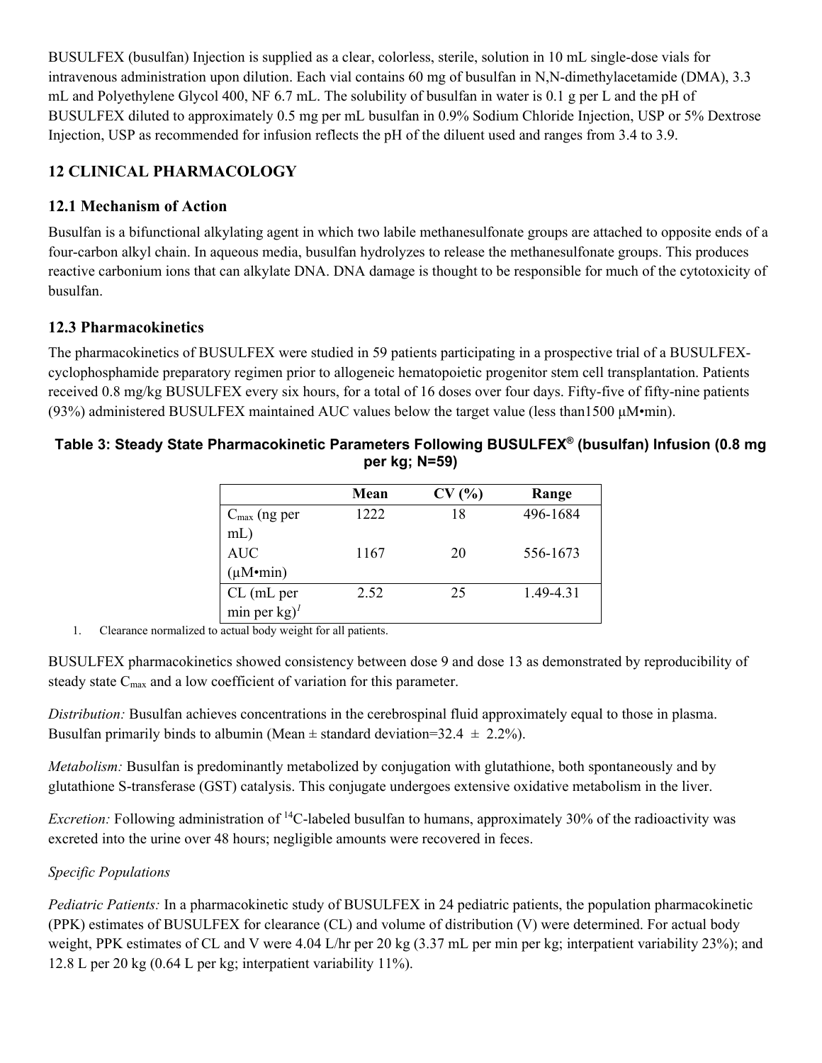BUSULFEX (busulfan) Injection is supplied as a clear, colorless, sterile, solution in 10 mL single-dose vials for intravenous administration upon dilution. Each vial contains 60 mg of busulfan in N,N-dimethylacetamide (DMA), 3.3 mL and Polyethylene Glycol 400, NF 6.7 mL. The solubility of busulfan in water is 0.1 g per L and the pH of BUSULFEX diluted to approximately 0.5 mg per mL busulfan in 0.9% Sodium Chloride Injection, USP or 5% Dextrose Injection, USP as recommended for infusion reflects the pH of the diluent used and ranges from 3.4 to 3.9.

# <span id="page-12-0"></span>**12 CLINICAL PHARMACOLOGY**

# <span id="page-12-1"></span>**12.1 Mechanism of Action**

Busulfan is a bifunctional alkylating agent in which two labile methanesulfonate groups are attached to opposite ends of a four-carbon alkyl chain. In aqueous media, busulfan hydrolyzes to release the methanesulfonate groups. This produces reactive carbonium ions that can alkylate DNA. DNA damage is thought to be responsible for much of the cytotoxicity of busulfan.

# <span id="page-12-2"></span>**12.3 Pharmacokinetics**

The pharmacokinetics of BUSULFEX were studied in 59 patients participating in a prospective trial of a BUSULFEXcyclophosphamide preparatory regimen prior to allogeneic hematopoietic progenitor stem cell transplantation. Patients received 0.8 mg/kg BUSULFEX every six hours, for a total of 16 doses over four days. Fifty-five of fifty-nine patients (93%) administered BUSULFEX maintained AUC values below the target value (less than1500 μM•min).

## **Table 3: Steady State Pharmacokinetic Parameters Following BUSULFEX® (busulfan) Infusion (0.8 mg per kg; N=59)**

|                                        | Mean | CV(%) | Range     |
|----------------------------------------|------|-------|-----------|
| $C_{\text{max}}$ (ng per               | 1222 | 18    | 496-1684  |
| $mL$ )                                 |      |       |           |
| <b>AUC</b>                             | 1167 | 20    | 556-1673  |
| $(\mu M \cdot min)$                    |      |       |           |
| $CL$ (mL per                           | 2.52 | 25    | 1.49-4.31 |
| min per $kg$ <sup><math>l</math></sup> |      |       |           |

<span id="page-12-3"></span>1. Clearance normalized to actual body weight for all patients.

BUSULFEX pharmacokinetics showed consistency between dose 9 and dose 13 as demonstrated by reproducibility of steady state C<sub>max</sub> and a low coefficient of variation for this parameter.

*Distribution:* Busulfan achieves concentrations in the cerebrospinal fluid approximately equal to those in plasma. Busulfan primarily binds to albumin (Mean  $\pm$  standard deviation=32.4  $\pm$  2.2%).

*Metabolism:* Busulfan is predominantly metabolized by conjugation with glutathione, both spontaneously and by glutathione S-transferase (GST) catalysis. This conjugate undergoes extensive oxidative metabolism in the liver.

*Excretion:* Following administration of <sup>14</sup>C-labeled busulfan to humans, approximately 30% of the radioactivity was excreted into the urine over 48 hours; negligible amounts were recovered in feces.

# *Specific Populations*

*Pediatric Patients:* In a pharmacokinetic study of BUSULFEX in 24 pediatric patients, the population pharmacokinetic (PPK) estimates of BUSULFEX for clearance (CL) and volume of distribution (V) were determined. For actual body weight, PPK estimates of CL and V were 4.04 L/hr per 20 kg (3.37 mL per min per kg; interpatient variability 23%); and 12.8 L per 20 kg (0.64 L per kg; interpatient variability 11%).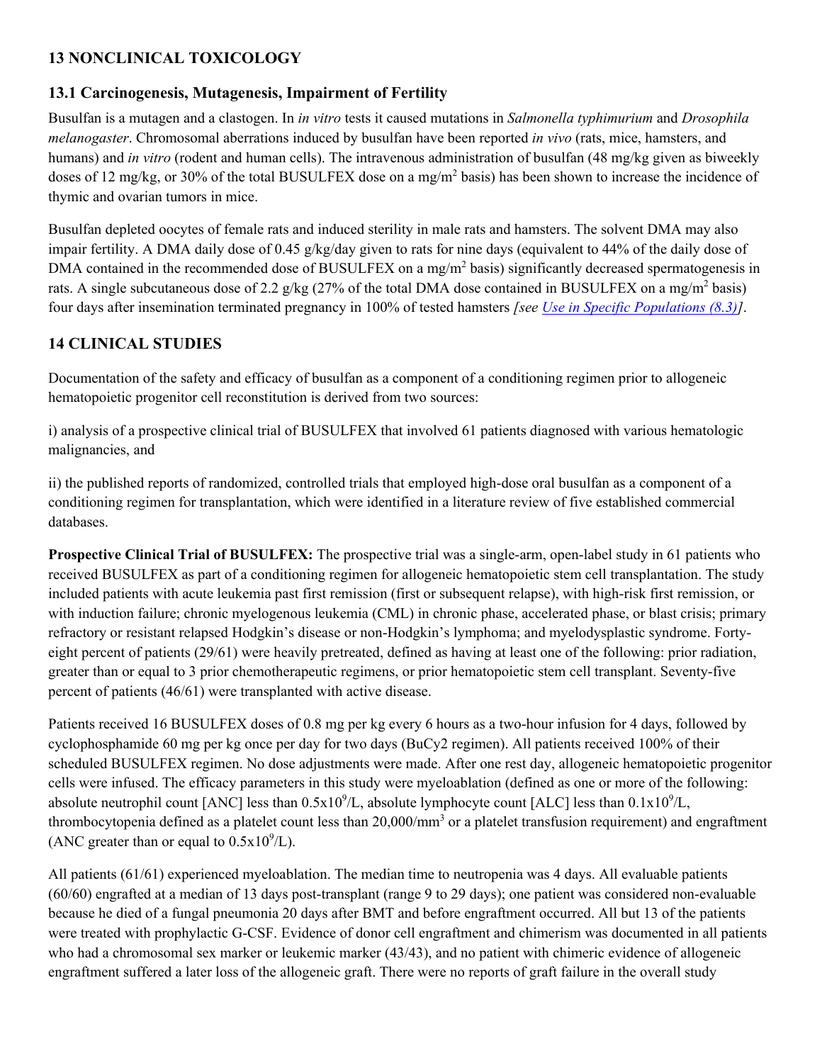# <span id="page-13-0"></span>**13 NONCLINICAL TOXICOLOGY**

# <span id="page-13-1"></span>**13.1 Carcinogenesis, Mutagenesis, Impairment of Fertility**

Busulfan is a mutagen and a clastogen. In *in vitro* tests it caused mutations in *Salmonella typhimurium* and *Drosophila melanogaster*. Chromosomal aberrations induced by busulfan have been reported *in vivo* (rats, mice, hamsters, and humans) and *in vitro* (rodent and human cells). The intravenous administration of busulfan (48 mg/kg given as biweekly doses of 12 mg/kg, or 30% of the total BUSULFEX dose on a mg/m<sup>2</sup> basis) has been shown to increase the incidence of thymic and ovarian tumors in mice.

Busulfan depleted oocytes of female rats and induced sterility in male rats and hamsters. The solvent DMA may also impair fertility. A DMA daily dose of 0.45 g/kg/day given to rats for nine days (equivalent to 44% of the daily dose of DMA contained in the recommended dose of BUSULFEX on a mg/m<sup>2</sup> basis) significantly decreased spermatogenesis in rats. A single subcutaneous dose of 2.2 g/kg (27% of the total DMA dose contained in BUSULFEX on a mg/m<sup>2</sup> basis) four days after insemination terminated pregnancy in 100% of tested hamsters *[see [Use in Specific Populations \(8.3\)\]](#page-8-1)*.

# <span id="page-13-2"></span>**14 CLINICAL STUDIES**

Documentation of the safety and efficacy of busulfan as a component of a conditioning regimen prior to allogeneic hematopoietic progenitor cell reconstitution is derived from two sources:

i) analysis of a prospective clinical trial of BUSULFEX that involved 61 patients diagnosed with various hematologic malignancies, and

ii) the published reports of randomized, controlled trials that employed high-dose oral busulfan as a component of a conditioning regimen for transplantation, which were identified in a literature review of five established commercial databases.

**Prospective Clinical Trial of BUSULFEX:** The prospective trial was a single-arm, open-label study in 61 patients who received BUSULFEX as part of a conditioning regimen for allogeneic hematopoietic stem cell transplantation. The study included patients with acute leukemia past first remission (first or subsequent relapse), with high-risk first remission, or with induction failure; chronic myelogenous leukemia (CML) in chronic phase, accelerated phase, or blast crisis; primary refractory or resistant relapsed Hodgkin's disease or non-Hodgkin's lymphoma; and myelodysplastic syndrome. Fortyeight percent of patients (29/61) were heavily pretreated, defined as having at least one of the following: prior radiation, greater than or equal to 3 prior chemotherapeutic regimens, or prior hematopoietic stem cell transplant. Seventy-five percent of patients (46/61) were transplanted with active disease.

Patients received 16 BUSULFEX doses of 0.8 mg per kg every 6 hours as a two-hour infusion for 4 days, followed by cyclophosphamide 60 mg per kg once per day for two days (BuCy2 regimen). All patients received 100% of their scheduled BUSULFEX regimen. No dose adjustments were made. After one rest day, allogeneic hematopoietic progenitor cells were infused. The efficacy parameters in this study were myeloablation (defined as one or more of the following: absolute neutrophil count [ANC] less than  $0.5x10^9/L$ , absolute lymphocyte count [ALC] less than  $0.1x10^9/L$ , thrombocytopenia defined as a platelet count less than  $20,000/\text{mm}^3$  or a platelet transfusion requirement) and engraftment (ANC greater than or equal to  $0.5x10^9$ /L).

All patients (61/61) experienced myeloablation. The median time to neutropenia was 4 days. All evaluable patients (60/60) engrafted at a median of 13 days post-transplant (range 9 to 29 days); one patient was considered non-evaluable because he died of a fungal pneumonia 20 days after BMT and before engraftment occurred. All but 13 of the patients were treated with prophylactic G-CSF. Evidence of donor cell engraftment and chimerism was documented in all patients who had a chromosomal sex marker or leukemic marker (43/43), and no patient with chimeric evidence of allogeneic engraftment suffered a later loss of the allogeneic graft. There were no reports of graft failure in the overall study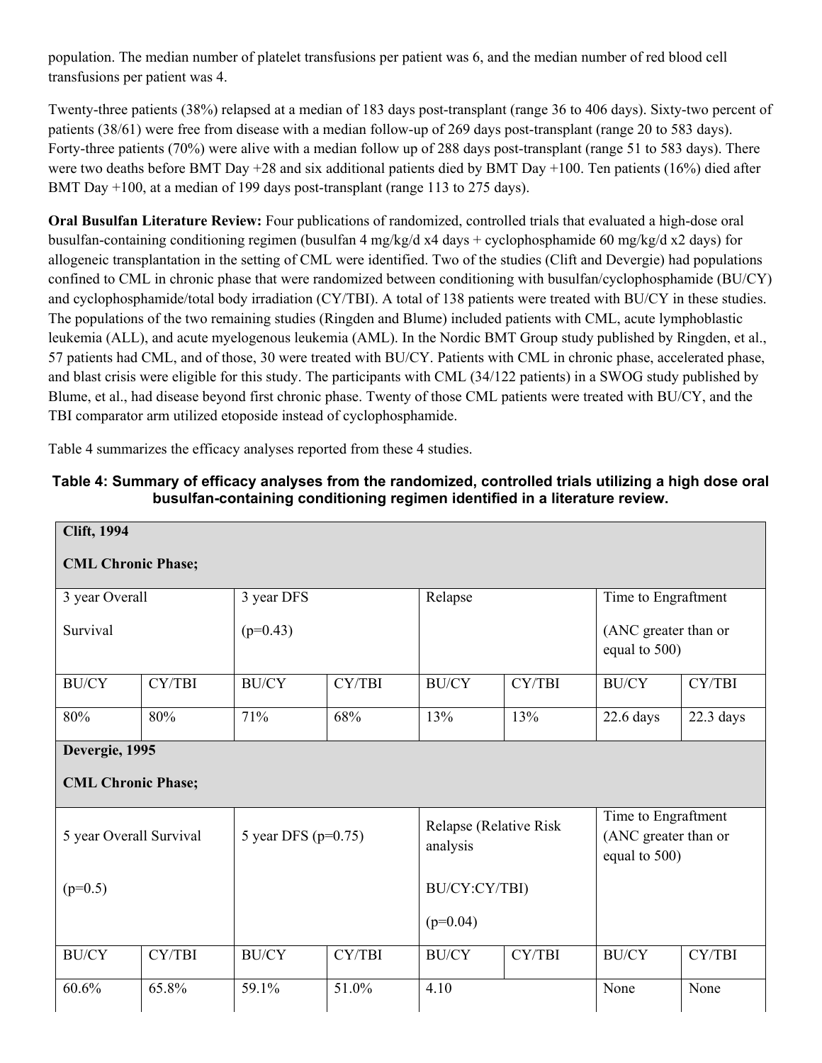population. The median number of platelet transfusions per patient was 6, and the median number of red blood cell transfusions per patient was 4.

Twenty-three patients (38%) relapsed at a median of 183 days post-transplant (range 36 to 406 days). Sixty-two percent of patients (38/61) were free from disease with a median follow-up of 269 days post-transplant (range 20 to 583 days). Forty-three patients (70%) were alive with a median follow up of 288 days post-transplant (range 51 to 583 days). There were two deaths before BMT Day  $+28$  and six additional patients died by BMT Day  $+100$ . Ten patients (16%) died after BMT Day +100, at a median of 199 days post-transplant (range 113 to 275 days).

**Oral Busulfan Literature Review:** Four publications of randomized, controlled trials that evaluated a high-dose oral busulfan-containing conditioning regimen (busulfan 4 mg/kg/d x4 days + cyclophosphamide 60 mg/kg/d x2 days) for allogeneic transplantation in the setting of CML were identified. Two of the studies (Clift and Devergie) had populations confined to CML in chronic phase that were randomized between conditioning with busulfan/cyclophosphamide (BU/CY) and cyclophosphamide/total body irradiation (CY/TBI). A total of 138 patients were treated with BU/CY in these studies. The populations of the two remaining studies (Ringden and Blume) included patients with CML, acute lymphoblastic leukemia (ALL), and acute myelogenous leukemia (AML). In the Nordic BMT Group study published by Ringden, et al., 57 patients had CML, and of those, 30 were treated with BU/CY. Patients with CML in chronic phase, accelerated phase, and blast crisis were eligible for this study. The participants with CML (34/122 patients) in a SWOG study published by Blume, et al., had disease beyond first chronic phase. Twenty of those CML patients were treated with BU/CY, and the TBI comparator arm utilized etoposide instead of cyclophosphamide.

Table 4 summarizes the efficacy analyses reported from these 4 studies.

## **Table 4: Summary of efficacy analyses from the randomized, controlled trials utilizing a high dose oral busulfan-containing conditioning regimen identified in a literature review.**

| <b>Clift</b> , 1994       |        |                         |        |                                    |        |                                                              |             |
|---------------------------|--------|-------------------------|--------|------------------------------------|--------|--------------------------------------------------------------|-------------|
| <b>CML Chronic Phase;</b> |        |                         |        |                                    |        |                                                              |             |
| 3 year Overall            |        | 3 year DFS              |        | Relapse                            |        | Time to Engraftment                                          |             |
| Survival                  |        | $(p=0.43)$              |        |                                    |        | (ANC greater than or<br>equal to 500)                        |             |
| <b>BU/CY</b>              | CY/TBI | <b>BU/CY</b>            | CY/TBI | <b>BU/CY</b>                       | CY/TBI | <b>BU/CY</b>                                                 | CY/TBI      |
| 80%                       | 80%    | 71%                     | 68%    | 13%                                | 13%    | 22.6 days                                                    | $22.3$ days |
| Devergie, 1995            |        |                         |        |                                    |        |                                                              |             |
| <b>CML Chronic Phase;</b> |        |                         |        |                                    |        |                                                              |             |
| 5 year Overall Survival   |        | 5 year DFS ( $p=0.75$ ) |        | Relapse (Relative Risk<br>analysis |        | Time to Engraftment<br>(ANC greater than or<br>equal to 500) |             |
| $(p=0.5)$                 |        |                         |        | BU/CY:CY/TBI)                      |        |                                                              |             |
|                           |        |                         |        | $(p=0.04)$                         |        |                                                              |             |
| <b>BU/CY</b>              | CY/TBI | <b>BU/CY</b>            | CY/TBI | <b>BU/CY</b>                       | CY/TBI | <b>BU/CY</b>                                                 | CY/TBI      |
| 60.6%                     | 65.8%  | 59.1%                   | 51.0%  | 4.10                               |        | None                                                         | None        |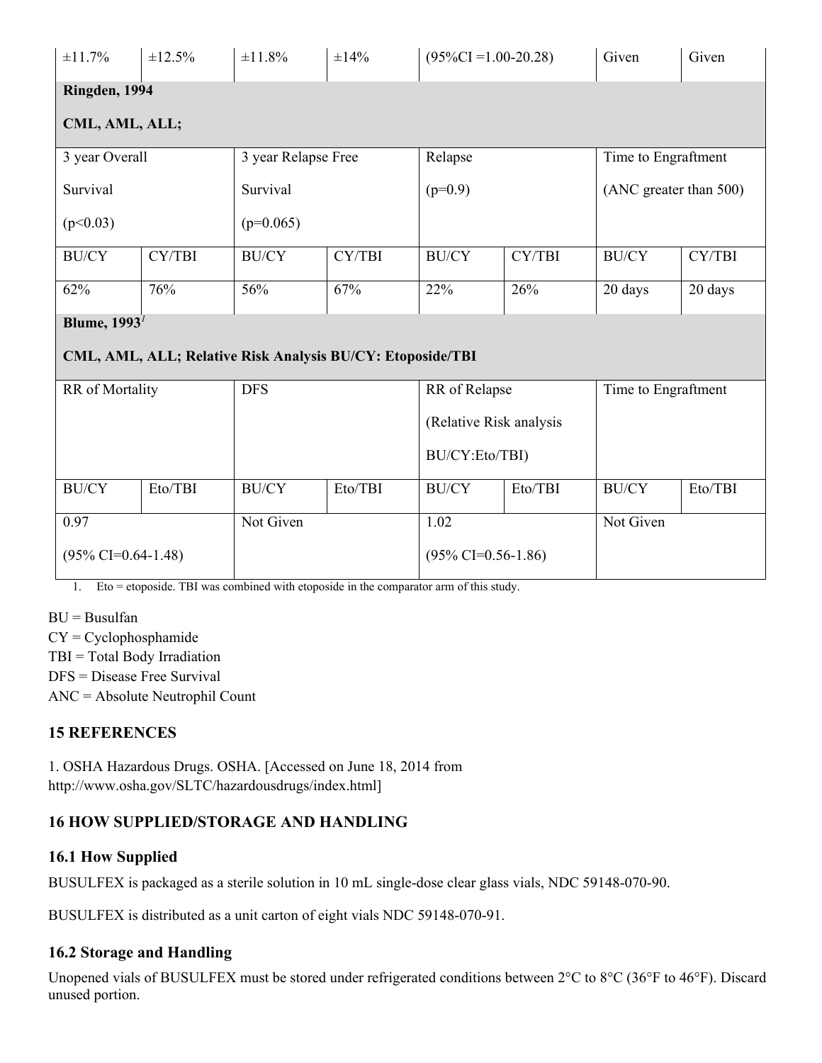| $\pm 11.7\%$                  | ±12.5%                                                                  | $\pm 11.8\%$                                               | $\pm 14\%$                           | $(95\%CI = 1.00 - 20.28)$ |         | Given                  | Given   |  |
|-------------------------------|-------------------------------------------------------------------------|------------------------------------------------------------|--------------------------------------|---------------------------|---------|------------------------|---------|--|
| Ringden, 1994                 |                                                                         |                                                            |                                      |                           |         |                        |         |  |
| CML, AML, ALL;                |                                                                         |                                                            |                                      |                           |         |                        |         |  |
|                               | 3 year Overall<br>3 year Relapse Free<br>Time to Engraftment<br>Relapse |                                                            |                                      |                           |         |                        |         |  |
| Survival                      |                                                                         | Survival                                                   |                                      | $(p=0.9)$                 |         | (ANC greater than 500) |         |  |
| (p<0.03)                      |                                                                         | $(p=0.065)$                                                |                                      |                           |         |                        |         |  |
| <b>BU/CY</b>                  | CY/TBI                                                                  | <b>BU/CY</b>                                               | CY/TBI                               | <b>BU/CY</b>              | CY/TBI  | <b>BU/CY</b>           | CY/TBI  |  |
| 62%                           | 76%                                                                     | 56%                                                        | 67%                                  | 22%                       | 26%     | 20 days                | 20 days |  |
| Blume, $19931$                |                                                                         |                                                            |                                      |                           |         |                        |         |  |
|                               |                                                                         | CML, AML, ALL; Relative Risk Analysis BU/CY: Etoposide/TBI |                                      |                           |         |                        |         |  |
| <b>DFS</b><br>RR of Mortality |                                                                         |                                                            | RR of Relapse<br>Time to Engraftment |                           |         |                        |         |  |
|                               |                                                                         | (Relative Risk analysis                                    |                                      |                           |         |                        |         |  |
|                               |                                                                         |                                                            |                                      | BU/CY:Eto/TBI)            |         |                        |         |  |
| <b>BU/CY</b>                  | Eto/TBI                                                                 | <b>BU/CY</b>                                               | Eto/TBI                              | <b>BU/CY</b>              | Eto/TBI | <b>BU/CY</b>           | Eto/TBI |  |
| 0.97                          |                                                                         | Not Given                                                  |                                      | 1.02                      |         | Not Given              |         |  |
| $(95\%$ CI=0.64-1.48)         |                                                                         |                                                            | $(95\% \text{ CI} = 0.56 - 1.86)$    |                           |         |                        |         |  |

<span id="page-15-4"></span>1. Eto = etoposide. TBI was combined with etoposide in the comparator arm of this study.

 $BU = Busulfan$ 

CY = Cyclophosphamide

TBI = Total Body Irradiation

DFS = Disease Free Survival

ANC = Absolute Neutrophil Count

# <span id="page-15-0"></span>**15 REFERENCES**

1. OSHA Hazardous Drugs. OSHA. [Accessed on June 18, 2014 from http://www.osha.gov/SLTC/hazardousdrugs/index.html]

# <span id="page-15-1"></span>**16 HOW SUPPLIED/STORAGE AND HANDLING**

# <span id="page-15-2"></span>**16.1 How Supplied**

BUSULFEX is packaged as a sterile solution in 10 mL single-dose clear glass vials, NDC 59148-070-90.

BUSULFEX is distributed as a unit carton of eight vials NDC 59148-070-91.

# <span id="page-15-3"></span>**16.2 Storage and Handling**

Unopened vials of BUSULFEX must be stored under refrigerated conditions between 2°C to 8°C (36°F to 46°F). Discard unused portion.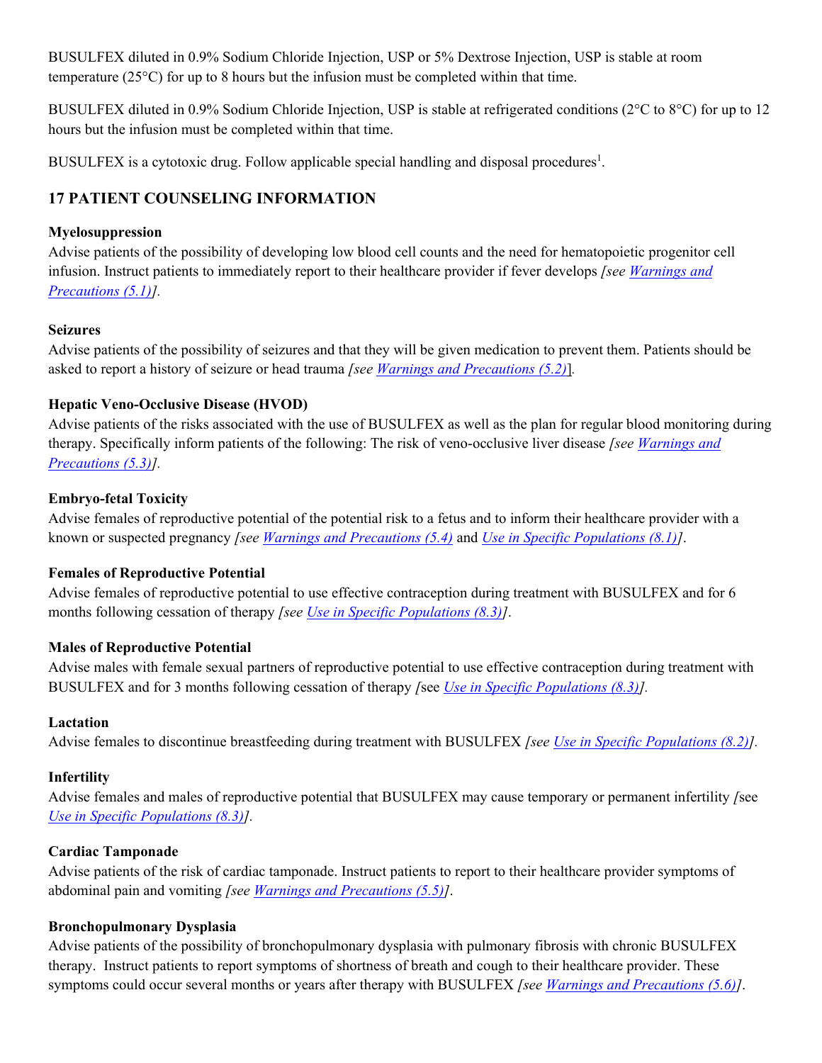BUSULFEX diluted in 0.9% Sodium Chloride Injection, USP or 5% Dextrose Injection, USP is stable at room temperature (25°C) for up to 8 hours but the infusion must be completed within that time.

BUSULFEX diluted in 0.9% Sodium Chloride Injection, USP is stable at refrigerated conditions (2°C to 8°C) for up to 12 hours but the infusion must be completed within that time.

BUSULFEX is a cytotoxic drug. Follow applicable special handling and disposal procedures<sup>1</sup>.

# <span id="page-16-0"></span>**17 PATIENT COUNSELING INFORMATION**

#### **Myelosuppression**

Advise patients of the possibility of developing low blood cell counts and the need for hematopoietic progenitor cell infusion. Instruct patients to immediately report to their healthcare provider if fever develops *[see [Warnings and](#page-2-0)  [Precautions \(5.1\)\]](#page-2-0).*

#### **Seizures**

Advise patients of the possibility of seizures and that they will be given medication to prevent them. Patients should be asked to report a history of seizure or head trauma *[see [Warnings and Precautions \(5.2\)](#page-3-0)*]*.*

## **Hepatic Veno-Occlusive Disease (HVOD)**

Advise patients of the risks associated with the use of BUSULFEX as well as the plan for regular blood monitoring during therapy. Specifically inform patients of the following: The risk of veno-occlusive liver disease *[see [Warnings and](#page-3-1)  [Precautions \(5.3\)\]](#page-3-1).*

## **Embryo-fetal Toxicity**

Advise females of reproductive potential of the potential risk to a fetus and to inform their healthcare provider with a known or suspected pregnancy *[see [Warnings and Precautions \(5.4\)](#page-3-2)* and *[Use in Specific Populations \(8.1\)\]](#page-8-0)*.

## **Females of Reproductive Potential**

Advise females of reproductive potential to use effective contraception during treatment with BUSULFEX and for 6 months following cessation of therapy *[see [Use in Specific Populations \(8.3\)\]](#page-8-1)*.

#### **Males of Reproductive Potential**

Advise males with female sexual partners of reproductive potential to use effective contraception during treatment with BUSULFEX and for 3 months following cessation of therapy *[*see *[Use in Specific Populations \(8.3\)\]](#page-8-1).*

#### **Lactation**

Advise females to discontinue breastfeeding during treatment with BUSULFEX *[see Use in [Specific Populations \(8.2\)\]](#page-8-3).*

#### **Infertility**

Advise females and males of reproductive potential that BUSULFEX may cause temporary or permanent infertility *[*see *[Use in Specific Populations \(8.3\)\]](#page-8-1).*

## **Cardiac Tamponade**

Advise patients of the risk of cardiac tamponade. Instruct patients to report to their healthcare provider symptoms of abdominal pain and vomiting *[see [Warnings and Precautions \(5.5\)\]](#page-3-3)*.

## **Bronchopulmonary Dysplasia**

Advise patients of the possibility of bronchopulmonary dysplasia with pulmonary fibrosis with chronic BUSULFEX therapy. Instruct patients to report symptoms of shortness of breath and cough to their healthcare provider. These symptoms could occur several months or years after therapy with BUSULFEX *[see Warnings [and Precautions \(5.6\)\]](#page-3-4)*.